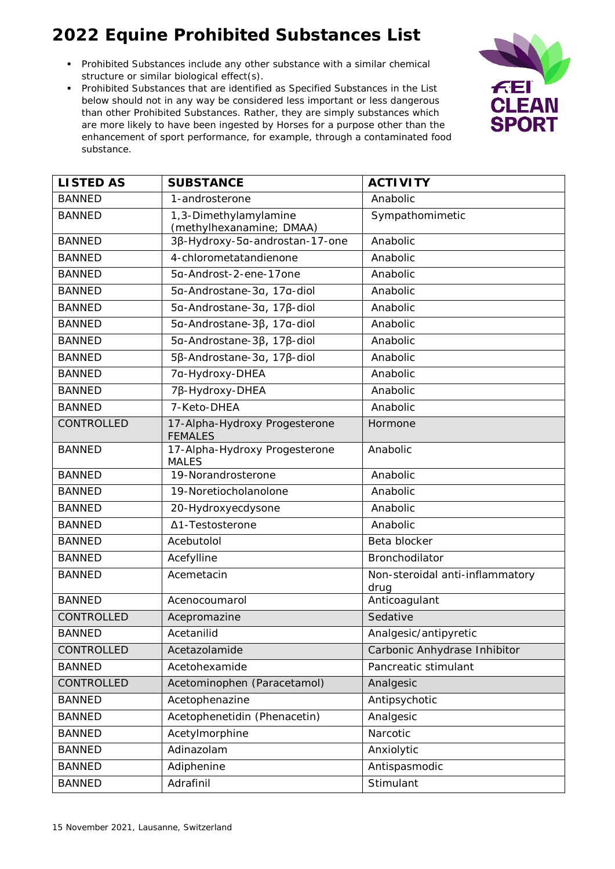- Prohibited Substances include any other substance with a similar chemical structure or similar biological effect(s).
- Prohibited Substances that are identified as Specified Substances in the List below should not in any way be considered less important or less dangerous than other Prohibited Substances. Rather, they are simply substances which are more likely to have been ingested by Horses for a purpose other than the enhancement of sport performance, for example, through a contaminated food substance.



| <b>LISTED AS</b>  | <b>SUBSTANCE</b>                                  | <b>ACTIVITY</b>                         |
|-------------------|---------------------------------------------------|-----------------------------------------|
| <b>BANNED</b>     | 1-androsterone                                    | Anabolic                                |
| <b>BANNED</b>     | 1,3-Dimethylamylamine<br>(methylhexanamine; DMAA) | Sympathomimetic                         |
| <b>BANNED</b>     | 3β-Hydroxy-5a-androstan-17-one                    | Anabolic                                |
| <b>BANNED</b>     | 4-chlorometatandienone                            | Anabolic                                |
| <b>BANNED</b>     | 5g-Androst-2-ene-17one                            | Anabolic                                |
| <b>BANNED</b>     | 5a-Androstane-3a, 17a-diol                        | Anabolic                                |
| <b>BANNED</b>     | 5a-Androstane-3a, 17ß-diol                        | Anabolic                                |
| <b>BANNED</b>     | 5α-Androstane-3β, 17α-diol                        | Anabolic                                |
| <b>BANNED</b>     | 5α-Androstane-3β, 17β-diol                        | Anabolic                                |
| <b>BANNED</b>     | 5β-Androstane-3a, 17β-diol                        | Anabolic                                |
| <b>BANNED</b>     | 7a-Hydroxy-DHEA                                   | Anabolic                                |
| <b>BANNED</b>     | 7β-Hydroxy-DHEA                                   | Anabolic                                |
| <b>BANNED</b>     | 7-Keto-DHEA                                       | Anabolic                                |
| CONTROLLED        | 17-Alpha-Hydroxy Progesterone<br><b>FEMALES</b>   | Hormone                                 |
| <b>BANNED</b>     | 17-Alpha-Hydroxy Progesterone<br><b>MALES</b>     | Anabolic                                |
| <b>BANNED</b>     | 19-Norandrosterone                                | Anabolic                                |
| <b>BANNED</b>     | 19-Noretiocholanolone                             | Anabolic                                |
| <b>BANNED</b>     | 20-Hydroxyecdysone                                | Anabolic                                |
| <b>BANNED</b>     | Δ1-Testosterone                                   | Anabolic                                |
| <b>BANNED</b>     | Acebutolol                                        | Beta blocker                            |
| <b>BANNED</b>     | Acefylline                                        | Bronchodilator                          |
| <b>BANNED</b>     | Acemetacin                                        | Non-steroidal anti-inflammatory<br>drug |
| <b>BANNED</b>     | Acenocoumarol                                     | Anticoagulant                           |
| <b>CONTROLLED</b> | Acepromazine                                      | Sedative                                |
| <b>BANNED</b>     | Acetanilid                                        | Analgesic/antipyretic                   |
| CONTROLLED        | Acetazolamide                                     | Carbonic Anhydrase Inhibitor            |
| <b>BANNED</b>     | Acetohexamide                                     | Pancreatic stimulant                    |
| CONTROLLED        | Acetominophen (Paracetamol)                       | Analgesic                               |
| <b>BANNED</b>     | Acetophenazine                                    | Antipsychotic                           |
| <b>BANNED</b>     | Acetophenetidin (Phenacetin)                      | Analgesic                               |
| <b>BANNED</b>     | Acetylmorphine                                    | Narcotic                                |
| <b>BANNED</b>     | Adinazolam                                        | Anxiolytic                              |
| <b>BANNED</b>     | Adiphenine                                        | Antispasmodic                           |
| <b>BANNED</b>     | Adrafinil                                         | Stimulant                               |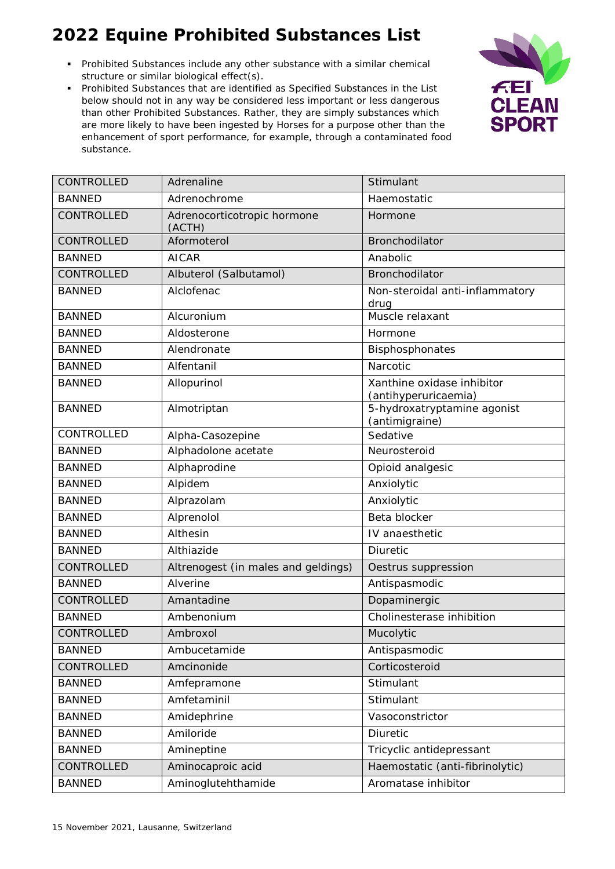- Prohibited Substances include any other substance with a similar chemical structure or similar biological effect(s).
- Prohibited Substances that are identified as Specified Substances in the List below should not in any way be considered less important or less dangerous than other Prohibited Substances. Rather, they are simply substances which are more likely to have been ingested by Horses for a purpose other than the enhancement of sport performance, for example, through a contaminated food substance.



| CONTROLLED        | Adrenaline                            | Stimulant                                          |
|-------------------|---------------------------------------|----------------------------------------------------|
| <b>BANNED</b>     | Adrenochrome                          | Haemostatic                                        |
| CONTROLLED        | Adrenocorticotropic hormone<br>(ACTH) | Hormone                                            |
| <b>CONTROLLED</b> | Aformoterol                           | <b>Bronchodilator</b>                              |
| <b>BANNED</b>     | <b>AICAR</b>                          | Anabolic                                           |
| CONTROLLED        | Albuterol (Salbutamol)                | <b>Bronchodilator</b>                              |
| <b>BANNED</b>     | Alclofenac                            | Non-steroidal anti-inflammatory<br>drug            |
| <b>BANNED</b>     | Alcuronium                            | Muscle relaxant                                    |
| <b>BANNED</b>     | Aldosterone                           | Hormone                                            |
| <b>BANNED</b>     | Alendronate                           | Bisphosphonates                                    |
| <b>BANNED</b>     | Alfentanil                            | Narcotic                                           |
| <b>BANNED</b>     | Allopurinol                           | Xanthine oxidase inhibitor<br>(antihyperuricaemia) |
| <b>BANNED</b>     | Almotriptan                           | 5-hydroxatryptamine agonist<br>(antimigraine)      |
| CONTROLLED        | Alpha-Casozepine                      | Sedative                                           |
| <b>BANNED</b>     | Alphadolone acetate                   | Neurosteroid                                       |
| <b>BANNED</b>     | Alphaprodine                          | Opioid analgesic                                   |
| <b>BANNED</b>     | Alpidem                               | Anxiolytic                                         |
| <b>BANNED</b>     | Alprazolam                            | Anxiolytic                                         |
| <b>BANNED</b>     | Alprenolol                            | Beta blocker                                       |
| <b>BANNED</b>     | Althesin                              | IV anaesthetic                                     |
| <b>BANNED</b>     | Althiazide                            | <b>Diuretic</b>                                    |
| <b>CONTROLLED</b> | Altrenogest (in males and geldings)   | Oestrus suppression                                |
| <b>BANNED</b>     | Alverine                              | Antispasmodic                                      |
| CONTROLLED        | Amantadine                            | Dopaminergic                                       |
| <b>BANNED</b>     | Ambenonium                            | Cholinesterase inhibition                          |
| CONTROLLED        | Ambroxol                              | Mucolytic                                          |
| <b>BANNED</b>     | Ambucetamide                          | Antispasmodic                                      |
| CONTROLLED        | Amcinonide                            | Corticosteroid                                     |
| <b>BANNED</b>     | Amfepramone                           | Stimulant                                          |
| <b>BANNED</b>     | Amfetaminil                           | Stimulant                                          |
| <b>BANNED</b>     | Amidephrine                           | Vasoconstrictor                                    |
| <b>BANNED</b>     | Amiloride                             | Diuretic                                           |
| <b>BANNED</b>     | Amineptine                            | Tricyclic antidepressant                           |
| CONTROLLED        | Aminocaproic acid                     | Haemostatic (anti-fibrinolytic)                    |
| <b>BANNED</b>     | Aminoglutehthamide                    | Aromatase inhibitor                                |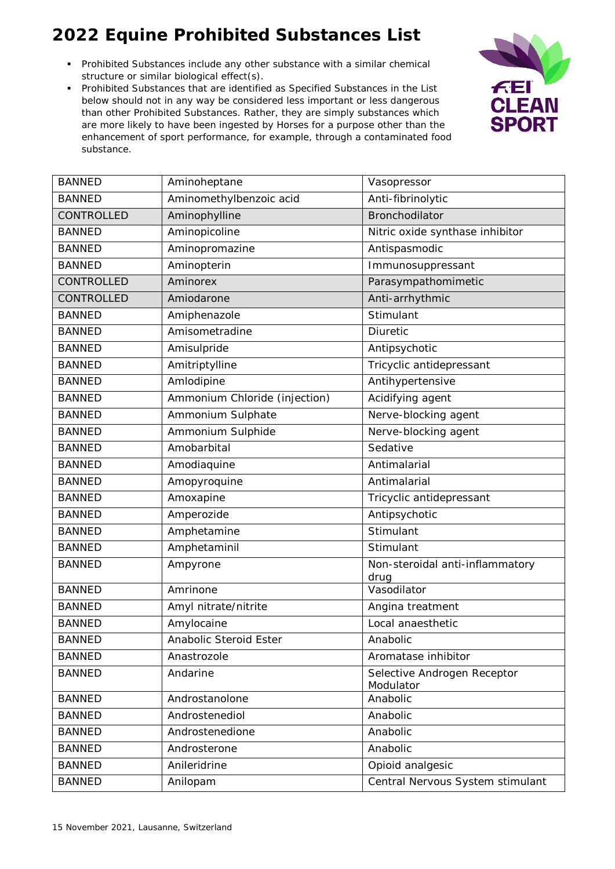- Prohibited Substances include any other substance with a similar chemical structure or similar biological effect(s).
- Prohibited Substances that are identified as Specified Substances in the List below should not in any way be considered less important or less dangerous than other Prohibited Substances. Rather, they are simply substances which are more likely to have been ingested by Horses for a purpose other than the enhancement of sport performance, for example, through a contaminated food substance.



| <b>BANNED</b>     | Aminoheptane                         | Vasopressor                           |
|-------------------|--------------------------------------|---------------------------------------|
| <b>BANNED</b>     | Aminomethylbenzoic acid              | Anti-fibrinolytic                     |
| CONTROLLED        | Aminophylline                        | Bronchodilator                        |
| <b>BANNED</b>     | Aminopicoline                        | Nitric oxide synthase inhibitor       |
| <b>BANNED</b>     | Aminopromazine                       | Antispasmodic                         |
| <b>BANNED</b>     | Aminopterin                          | Immunosuppressant                     |
| <b>CONTROLLED</b> | Aminorex                             | Parasympathomimetic                   |
| <b>CONTROLLED</b> | Amiodarone                           | Anti-arrhythmic                       |
| <b>BANNED</b>     | Amiphenazole                         | Stimulant                             |
| <b>BANNED</b>     | Amisometradine                       | Diuretic                              |
| <b>BANNED</b>     | Amisulpride                          | Antipsychotic                         |
| <b>BANNED</b>     | Amitriptylline                       | Tricyclic antidepressant              |
| <b>BANNED</b>     | Amlodipine                           | Antihypertensive                      |
| <b>BANNED</b>     | Ammonium Chloride (injection)        | Acidifying agent                      |
| <b>BANNED</b>     | Ammonium Sulphate                    | Nerve-blocking agent                  |
| <b>BANNED</b>     | Ammonium Sulphide                    | Nerve-blocking agent                  |
| <b>BANNED</b>     | Amobarbital                          | Sedative                              |
| <b>BANNED</b>     | Amodiaquine                          | Antimalarial                          |
| <b>BANNED</b>     | Amopyroquine                         | Antimalarial                          |
| <b>BANNED</b>     | Amoxapine                            | Tricyclic antidepressant              |
| <b>BANNED</b>     | Amperozide                           | Antipsychotic                         |
| <b>BANNED</b>     | Amphetamine                          | Stimulant                             |
| <b>BANNED</b>     | Amphetaminil                         | Stimulant                             |
| <b>BANNED</b>     | Ampyrone                             | Non-steroidal anti-inflammatory       |
| <b>BANNED</b>     | Amrinone                             | drug<br>Vasodilator                   |
| <b>BANNED</b>     | Amyl nitrate/nitrite                 |                                       |
| <b>BANNED</b>     |                                      | Angina treatment<br>Local anaesthetic |
| <b>BANNED</b>     | Amylocaine<br>Anabolic Steroid Ester | Anabolic                              |
| <b>BANNED</b>     | Anastrozole                          | Aromatase inhibitor                   |
| <b>BANNED</b>     | Andarine                             | Selective Androgen Receptor           |
|                   |                                      | Modulator                             |
| <b>BANNED</b>     | Androstanolone                       | Anabolic                              |
| <b>BANNED</b>     | Androstenediol                       | Anabolic                              |
| <b>BANNED</b>     | Androstenedione                      | Anabolic                              |
| <b>BANNED</b>     | Androsterone                         | Anabolic                              |
| <b>BANNED</b>     | Anileridrine                         | Opioid analgesic                      |
| <b>BANNED</b>     | Anilopam                             | Central Nervous System stimulant      |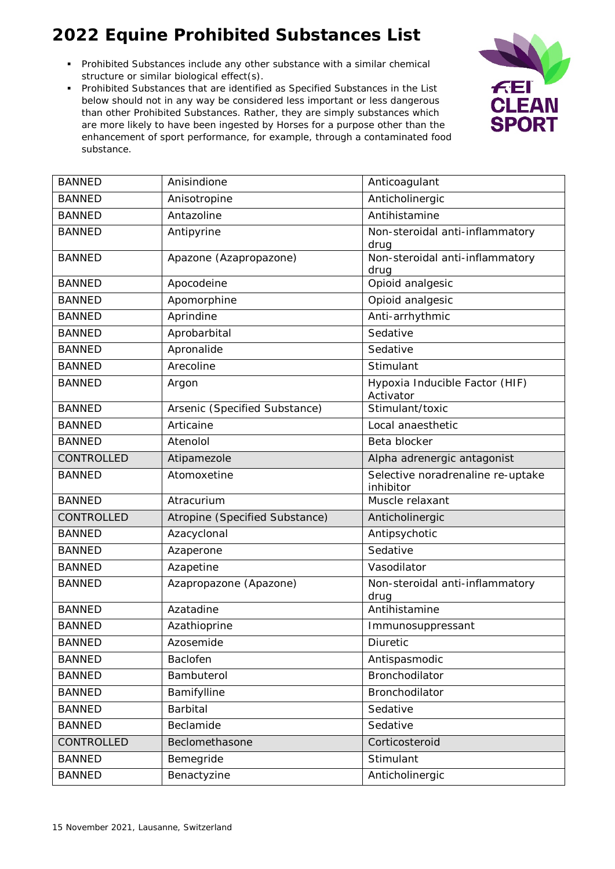- Prohibited Substances include any other substance with a similar chemical structure or similar biological effect(s).
- Prohibited Substances that are identified as Specified Substances in the List below should not in any way be considered less important or less dangerous than other Prohibited Substances. Rather, they are simply substances which are more likely to have been ingested by Horses for a purpose other than the enhancement of sport performance, for example, through a contaminated food substance.



| <b>BANNED</b> | Anisindione                    | Anticoagulant                                  |
|---------------|--------------------------------|------------------------------------------------|
| <b>BANNED</b> | Anisotropine                   | Anticholinergic                                |
| <b>BANNED</b> | Antazoline                     | Antihistamine                                  |
| <b>BANNED</b> | Antipyrine                     | Non-steroidal anti-inflammatory<br>drug        |
| <b>BANNED</b> | Apazone (Azapropazone)         | Non-steroidal anti-inflammatory<br>drug        |
| <b>BANNED</b> | Apocodeine                     | Opioid analgesic                               |
| <b>BANNED</b> | Apomorphine                    | Opioid analgesic                               |
| <b>BANNED</b> | Aprindine                      | Anti-arrhythmic                                |
| <b>BANNED</b> | Aprobarbital                   | Sedative                                       |
| <b>BANNED</b> | Apronalide                     | Sedative                                       |
| <b>BANNED</b> | Arecoline                      | Stimulant                                      |
| <b>BANNED</b> | Argon                          | Hypoxia Inducible Factor (HIF)<br>Activator    |
| <b>BANNED</b> | Arsenic (Specified Substance)  | Stimulant/toxic                                |
| <b>BANNED</b> | Articaine                      | Local anaesthetic                              |
| <b>BANNED</b> | Atenolol                       | Beta blocker                                   |
| CONTROLLED    | Atipamezole                    | Alpha adrenergic antagonist                    |
| <b>BANNED</b> | Atomoxetine                    | Selective noradrenaline re-uptake<br>inhibitor |
| <b>BANNED</b> | Atracurium                     | Muscle relaxant                                |
| CONTROLLED    | Atropine (Specified Substance) | Anticholinergic                                |
| <b>BANNED</b> | Azacyclonal                    | Antipsychotic                                  |
| <b>BANNED</b> | Azaperone                      | Sedative                                       |
| <b>BANNED</b> | Azapetine                      | Vasodilator                                    |
| <b>BANNED</b> | Azapropazone (Apazone)         | Non-steroidal anti-inflammatory<br>drug        |
| <b>BANNED</b> | Azatadine                      | Antihistamine                                  |
| <b>BANNED</b> | Azathioprine                   | Immunosuppressant                              |
| <b>BANNED</b> | Azosemide                      | Diuretic                                       |
| <b>BANNED</b> | Baclofen                       | Antispasmodic                                  |
| <b>BANNED</b> | Bambuterol                     | Bronchodilator                                 |
| <b>BANNED</b> | Bamifylline                    | Bronchodilator                                 |
| <b>BANNED</b> | Barbital                       | Sedative                                       |
| <b>BANNED</b> | Beclamide                      | Sedative                                       |
| CONTROLLED    | Beclomethasone                 | Corticosteroid                                 |
| <b>BANNED</b> | Bemegride                      | Stimulant                                      |
| <b>BANNED</b> | Benactyzine                    | Anticholinergic                                |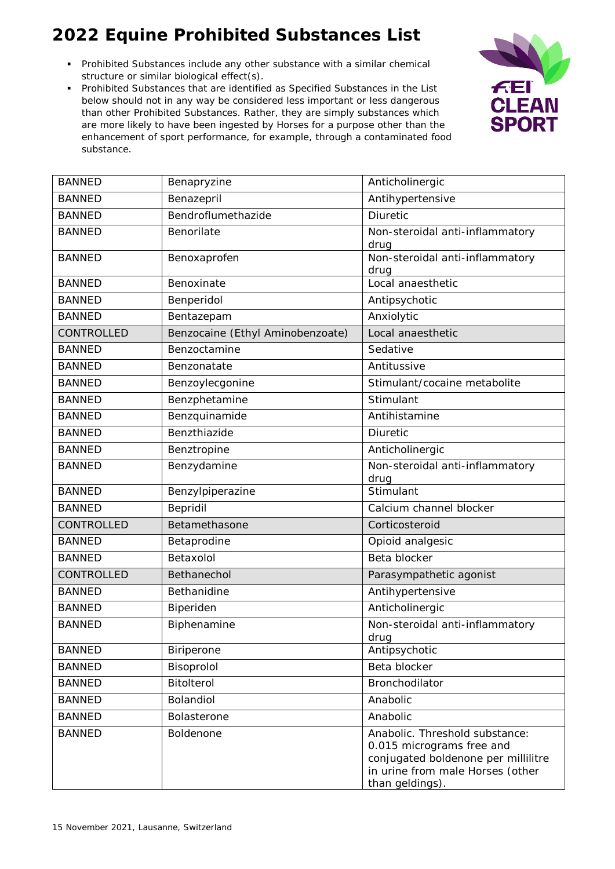- Prohibited Substances include any other substance with a similar chemical structure or similar biological effect(s).
- Prohibited Substances that are identified as Specified Substances in the List below should not in any way be considered less important or less dangerous than other Prohibited Substances. Rather, they are simply substances which are more likely to have been ingested by Horses for a purpose other than the enhancement of sport performance, for example, through a contaminated food substance.



| <b>BANNED</b> | Benapryzine                      | Anticholinergic                                                                                                                                           |
|---------------|----------------------------------|-----------------------------------------------------------------------------------------------------------------------------------------------------------|
| <b>BANNED</b> | Benazepril                       | Antihypertensive                                                                                                                                          |
| <b>BANNED</b> | Bendroflumethazide               | <b>Diuretic</b>                                                                                                                                           |
| <b>BANNED</b> | Benorilate                       | Non-steroidal anti-inflammatory<br>drug                                                                                                                   |
| <b>BANNED</b> | Benoxaprofen                     | Non-steroidal anti-inflammatory<br>drug                                                                                                                   |
| <b>BANNED</b> | Benoxinate                       | Local anaesthetic                                                                                                                                         |
| <b>BANNED</b> | Benperidol                       | Antipsychotic                                                                                                                                             |
| <b>BANNED</b> | Bentazepam                       | Anxiolytic                                                                                                                                                |
| CONTROLLED    | Benzocaine (Ethyl Aminobenzoate) | Local anaesthetic                                                                                                                                         |
| <b>BANNED</b> | Benzoctamine                     | Sedative                                                                                                                                                  |
| <b>BANNED</b> | Benzonatate                      | Antitussive                                                                                                                                               |
| <b>BANNED</b> | Benzoylecgonine                  | Stimulant/cocaine metabolite                                                                                                                              |
| <b>BANNED</b> | Benzphetamine                    | Stimulant                                                                                                                                                 |
| <b>BANNED</b> | Benzquinamide                    | Antihistamine                                                                                                                                             |
| <b>BANNED</b> | Benzthiazide                     | Diuretic                                                                                                                                                  |
| <b>BANNED</b> | Benztropine                      | Anticholinergic                                                                                                                                           |
| <b>BANNED</b> | Benzydamine                      | Non-steroidal anti-inflammatory<br>drug                                                                                                                   |
| <b>BANNED</b> | Benzylpiperazine                 | Stimulant                                                                                                                                                 |
| <b>BANNED</b> | Bepridil                         | Calcium channel blocker                                                                                                                                   |
| CONTROLLED    | Betamethasone                    | Corticosteroid                                                                                                                                            |
| <b>BANNED</b> | Betaprodine                      | Opioid analgesic                                                                                                                                          |
| <b>BANNED</b> | Betaxolol                        | Beta blocker                                                                                                                                              |
| CONTROLLED    | Bethanechol                      | Parasympathetic agonist                                                                                                                                   |
| <b>BANNED</b> | <b>Bethanidine</b>               | Antihypertensive                                                                                                                                          |
| <b>BANNED</b> | Biperiden                        | Anticholinergic                                                                                                                                           |
| <b>BANNED</b> | Biphenamine                      | Non-steroidal anti-inflammatory<br>drug                                                                                                                   |
| <b>BANNED</b> | Biriperone                       | Antipsychotic                                                                                                                                             |
| <b>BANNED</b> | Bisoprolol                       | Beta blocker                                                                                                                                              |
| <b>BANNED</b> | <b>Bitolterol</b>                | Bronchodilator                                                                                                                                            |
| <b>BANNED</b> | Bolandiol                        | Anabolic                                                                                                                                                  |
| <b>BANNED</b> | Bolasterone                      | Anabolic                                                                                                                                                  |
| <b>BANNED</b> | Boldenone                        | Anabolic. Threshold substance:<br>0.015 micrograms free and<br>conjugated boldenone per millilitre<br>in urine from male Horses (other<br>than geldings). |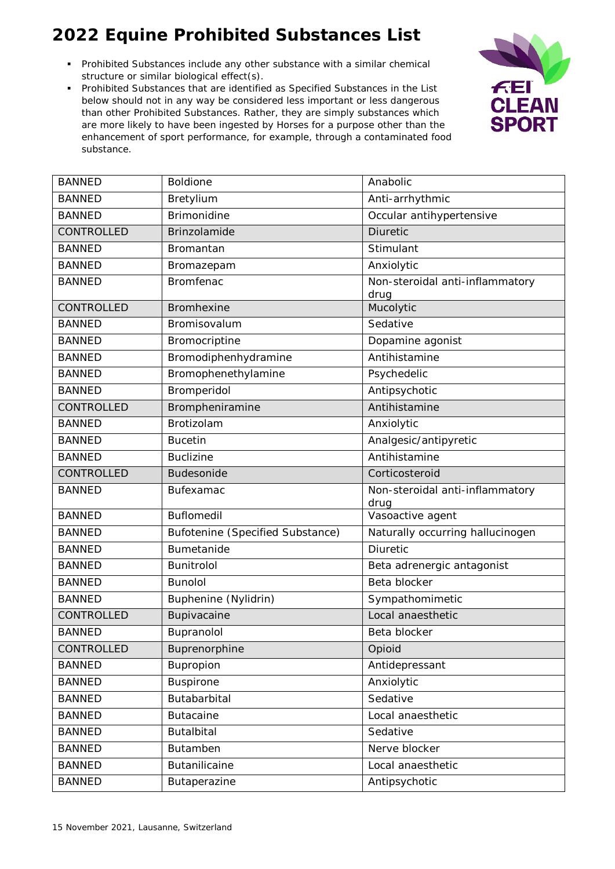- Prohibited Substances include any other substance with a similar chemical structure or similar biological effect(s).
- Prohibited Substances that are identified as Specified Substances in the List below should not in any way be considered less important or less dangerous than other Prohibited Substances. Rather, they are simply substances which are more likely to have been ingested by Horses for a purpose other than the enhancement of sport performance, for example, through a contaminated food substance.



| <b>BANNED</b>     | <b>Boldione</b>                  | Anabolic                                |
|-------------------|----------------------------------|-----------------------------------------|
| <b>BANNED</b>     | Bretylium                        | Anti-arrhythmic                         |
| <b>BANNED</b>     | <b>Brimonidine</b>               | Occular antihypertensive                |
| CONTROLLED        | Brinzolamide                     | <b>Diuretic</b>                         |
| <b>BANNED</b>     | Bromantan                        | Stimulant                               |
| <b>BANNED</b>     | Bromazepam                       | Anxiolytic                              |
| <b>BANNED</b>     | <b>Bromfenac</b>                 | Non-steroidal anti-inflammatory<br>drug |
| <b>CONTROLLED</b> | <b>Bromhexine</b>                | Mucolytic                               |
| <b>BANNED</b>     | Bromisovalum                     | Sedative                                |
| <b>BANNED</b>     | Bromocriptine                    | Dopamine agonist                        |
| <b>BANNED</b>     | Bromodiphenhydramine             | Antihistamine                           |
| <b>BANNED</b>     | Bromophenethylamine              | Psychedelic                             |
| <b>BANNED</b>     | Bromperidol                      | Antipsychotic                           |
| CONTROLLED        | Brompheniramine                  | Antihistamine                           |
| <b>BANNED</b>     | Brotizolam                       | Anxiolytic                              |
| <b>BANNED</b>     | <b>Bucetin</b>                   | Analgesic/antipyretic                   |
| <b>BANNED</b>     | <b>Buclizine</b>                 | Antihistamine                           |
| CONTROLLED        | <b>Budesonide</b>                | Corticosteroid                          |
| <b>BANNED</b>     | <b>Bufexamac</b>                 | Non-steroidal anti-inflammatory<br>drug |
| <b>BANNED</b>     | <b>Buflomedil</b>                | Vasoactive agent                        |
| <b>BANNED</b>     | Bufotenine (Specified Substance) | Naturally occurring hallucinogen        |
| <b>BANNED</b>     | Bumetanide                       | Diuretic                                |
| <b>BANNED</b>     | Bunitrolol                       | Beta adrenergic antagonist              |
| <b>BANNED</b>     | <b>Bunolol</b>                   | Beta blocker                            |
| <b>BANNED</b>     | Buphenine (Nylidrin)             | Sympathomimetic                         |
| CONTROLLED        | Bupivacaine                      | Local anaesthetic                       |
| <b>BANNED</b>     | Bupranolol                       | Beta blocker                            |
| CONTROLLED        | Buprenorphine                    | Opioid                                  |
| <b>BANNED</b>     | Bupropion                        | Antidepressant                          |
| <b>BANNED</b>     | Buspirone                        | Anxiolytic                              |
| <b>BANNED</b>     | Butabarbital                     | Sedative                                |
| <b>BANNED</b>     | <b>Butacaine</b>                 | Local anaesthetic                       |
| <b>BANNED</b>     | <b>Butalbital</b>                | Sedative                                |
| <b>BANNED</b>     | Butamben                         | Nerve blocker                           |
| <b>BANNED</b>     | Butanilicaine                    | Local anaesthetic                       |
| <b>BANNED</b>     | Butaperazine                     | Antipsychotic                           |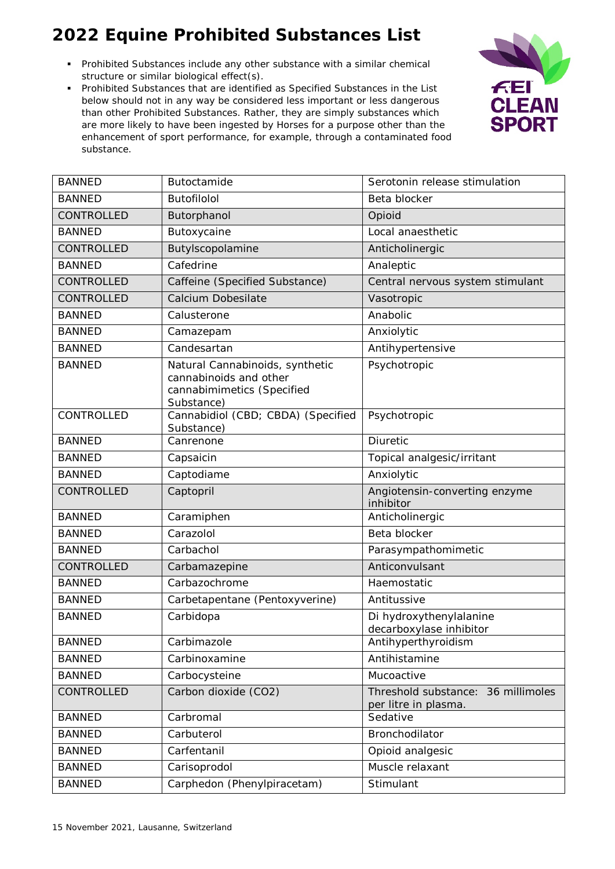- Prohibited Substances include any other substance with a similar chemical structure or similar biological effect(s).
- Prohibited Substances that are identified as Specified Substances in the List below should not in any way be considered less important or less dangerous than other Prohibited Substances. Rather, they are simply substances which are more likely to have been ingested by Horses for a purpose other than the enhancement of sport performance, for example, through a contaminated food substance.



| <b>BANNED</b> | Butoctamide                                                                                           | Serotonin release stimulation                              |
|---------------|-------------------------------------------------------------------------------------------------------|------------------------------------------------------------|
| <b>BANNED</b> | <b>Butofilolol</b>                                                                                    | Beta blocker                                               |
| CONTROLLED    | Butorphanol                                                                                           | Opioid                                                     |
| <b>BANNED</b> | Butoxycaine                                                                                           | Local anaesthetic                                          |
| CONTROLLED    | Butylscopolamine                                                                                      | Anticholinergic                                            |
| <b>BANNED</b> | Cafedrine                                                                                             | Analeptic                                                  |
| CONTROLLED    | Caffeine (Specified Substance)                                                                        | Central nervous system stimulant                           |
| CONTROLLED    | Calcium Dobesilate                                                                                    | Vasotropic                                                 |
| <b>BANNED</b> | Calusterone                                                                                           | Anabolic                                                   |
| <b>BANNED</b> | Camazepam                                                                                             | Anxiolytic                                                 |
| <b>BANNED</b> | Candesartan                                                                                           | Antihypertensive                                           |
| <b>BANNED</b> | Natural Cannabinoids, synthetic<br>cannabinoids and other<br>cannabimimetics (Specified<br>Substance) | Psychotropic                                               |
| CONTROLLED    | Cannabidiol (CBD; CBDA) (Specified<br>Substance)                                                      | Psychotropic                                               |
| <b>BANNED</b> | Canrenone                                                                                             | Diuretic                                                   |
| <b>BANNED</b> | Capsaicin                                                                                             | Topical analgesic/irritant                                 |
| <b>BANNED</b> | Captodiame                                                                                            | Anxiolytic                                                 |
| CONTROLLED    | Captopril                                                                                             | Angiotensin-converting enzyme<br>inhibitor                 |
| <b>BANNED</b> | Caramiphen                                                                                            | Anticholinergic                                            |
| <b>BANNED</b> | Carazolol                                                                                             | Beta blocker                                               |
| <b>BANNED</b> | Carbachol                                                                                             | Parasympathomimetic                                        |
| CONTROLLED    | Carbamazepine                                                                                         | Anticonvulsant                                             |
| <b>BANNED</b> | Carbazochrome                                                                                         | Haemostatic                                                |
| <b>BANNED</b> | Carbetapentane (Pentoxyverine)                                                                        | Antitussive                                                |
| <b>BANNED</b> | Carbidopa                                                                                             | Di hydroxythenylalanine<br>decarboxylase inhibitor         |
| <b>BANNED</b> | Carbimazole                                                                                           | Antihyperthyroidism                                        |
| <b>BANNED</b> | Carbinoxamine                                                                                         | Antihistamine                                              |
| <b>BANNED</b> | Carbocysteine                                                                                         | Mucoactive                                                 |
| CONTROLLED    | Carbon dioxide (CO2)                                                                                  | Threshold substance: 36 millimoles<br>per litre in plasma. |
| <b>BANNED</b> | Carbromal                                                                                             | Sedative                                                   |
| <b>BANNED</b> | Carbuterol                                                                                            | Bronchodilator                                             |
| <b>BANNED</b> | Carfentanil                                                                                           | Opioid analgesic                                           |
| <b>BANNED</b> | Carisoprodol                                                                                          | Muscle relaxant                                            |
| <b>BANNED</b> | Carphedon (Phenylpiracetam)                                                                           | Stimulant                                                  |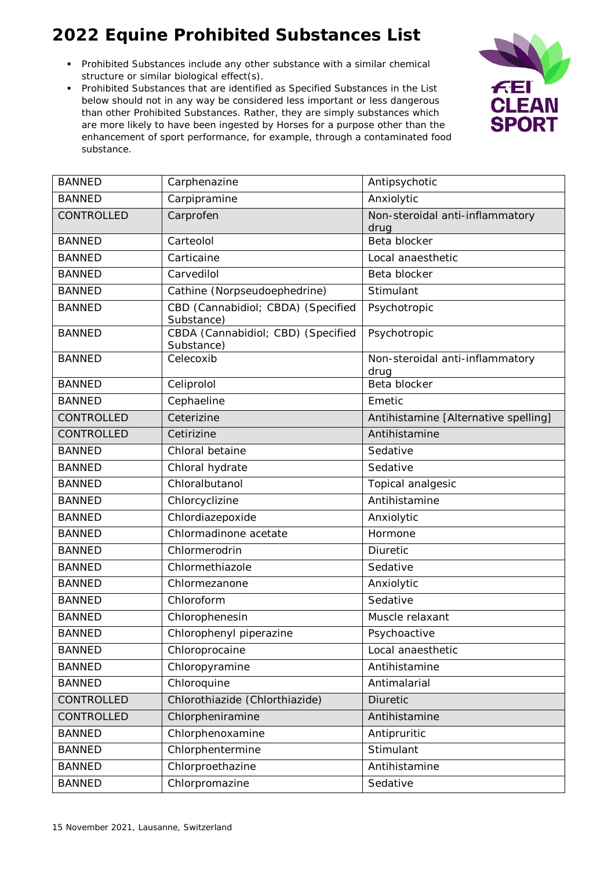- Prohibited Substances include any other substance with a similar chemical structure or similar biological effect(s).
- Prohibited Substances that are identified as Specified Substances in the List below should not in any way be considered less important or less dangerous than other Prohibited Substances. Rather, they are simply substances which are more likely to have been ingested by Horses for a purpose other than the enhancement of sport performance, for example, through a contaminated food substance.



| <b>BANNED</b> | Carphenazine                                     | Antipsychotic                           |
|---------------|--------------------------------------------------|-----------------------------------------|
| <b>BANNED</b> | Carpipramine                                     | Anxiolytic                              |
| CONTROLLED    | Carprofen                                        | Non-steroidal anti-inflammatory         |
|               |                                                  | drug<br>Beta blocker                    |
| <b>BANNED</b> | Carteolol                                        |                                         |
| <b>BANNED</b> | Carticaine                                       | Local anaesthetic                       |
| <b>BANNED</b> | Carvedilol                                       | Beta blocker                            |
| <b>BANNED</b> | Cathine (Norpseudoephedrine)                     | Stimulant                               |
| <b>BANNED</b> | CBD (Cannabidiol; CBDA) (Specified<br>Substance) | Psychotropic                            |
| <b>BANNED</b> | CBDA (Cannabidiol; CBD) (Specified<br>Substance) | Psychotropic                            |
| <b>BANNED</b> | Celecoxib                                        | Non-steroidal anti-inflammatory<br>drug |
| <b>BANNED</b> | Celiprolol                                       | Beta blocker                            |
| <b>BANNED</b> | Cephaeline                                       | Emetic                                  |
| CONTROLLED    | Ceterizine                                       | Antihistamine [Alternative spelling]    |
| CONTROLLED    | Cetirizine                                       | Antihistamine                           |
| <b>BANNED</b> | Chloral betaine                                  | Sedative                                |
| <b>BANNED</b> | Chloral hydrate                                  | Sedative                                |
| <b>BANNED</b> | Chloralbutanol                                   | Topical analgesic                       |
| <b>BANNED</b> | Chlorcyclizine                                   | Antihistamine                           |
| <b>BANNED</b> | Chlordiazepoxide                                 | Anxiolytic                              |
| <b>BANNED</b> | Chlormadinone acetate                            | Hormone                                 |
| <b>BANNED</b> | Chlormerodrin                                    | Diuretic                                |
| <b>BANNED</b> | Chlormethiazole                                  | Sedative                                |
| <b>BANNED</b> | Chlormezanone                                    | Anxiolytic                              |
| <b>BANNED</b> | Chloroform                                       | Sedative                                |
| <b>BANNED</b> | Chlorophenesin                                   | Muscle relaxant                         |
| <b>BANNED</b> | Chlorophenyl piperazine                          | Psychoactive                            |
| <b>BANNED</b> | Chloroprocaine                                   | Local anaesthetic                       |
| <b>BANNED</b> | Chloropyramine                                   | Antihistamine                           |
| <b>BANNED</b> | Chloroquine                                      | Antimalarial                            |
| CONTROLLED    | Chlorothiazide (Chlorthiazide)                   | Diuretic                                |
| CONTROLLED    | Chlorpheniramine                                 | Antihistamine                           |
| <b>BANNED</b> | Chlorphenoxamine                                 | Antipruritic                            |
| <b>BANNED</b> | Chlorphentermine                                 | Stimulant                               |
| <b>BANNED</b> | Chlorproethazine                                 | Antihistamine                           |
| <b>BANNED</b> | Chlorpromazine                                   | Sedative                                |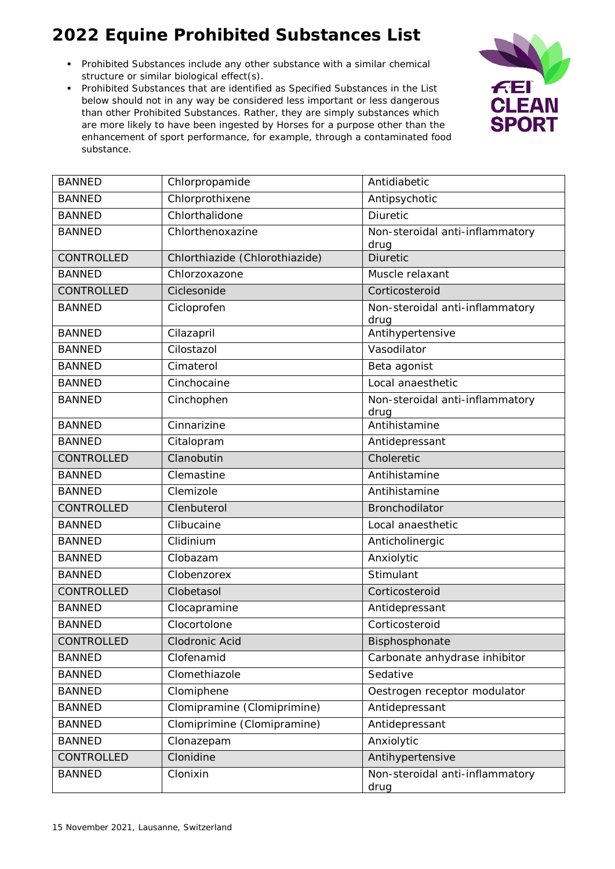- Prohibited Substances include any other substance with a similar chemical structure or similar biological effect(s).
- Prohibited Substances that are identified as Specified Substances in the List below should not in any way be considered less important or less dangerous than other Prohibited Substances. Rather, they are simply substances which are more likely to have been ingested by Horses for a purpose other than the enhancement of sport performance, for example, through a contaminated food substance.



| <b>BANNED</b>     | Chlorpropamide                 | Antidiabetic                    |
|-------------------|--------------------------------|---------------------------------|
| <b>BANNED</b>     | Chlorprothixene                | Antipsychotic                   |
| <b>BANNED</b>     | Chlorthalidone                 | Diuretic                        |
| <b>BANNED</b>     | Chlorthenoxazine               | Non-steroidal anti-inflammatory |
| CONTROLLED        | Chlorthiazide (Chlorothiazide) | drug<br><b>Diuretic</b>         |
| <b>BANNED</b>     | Chlorzoxazone                  | Muscle relaxant                 |
| <b>CONTROLLED</b> | Ciclesonide                    | Corticosteroid                  |
| <b>BANNED</b>     | Cicloprofen                    | Non-steroidal anti-inflammatory |
|                   |                                | drug                            |
| <b>BANNED</b>     | Cilazapril                     | Antihypertensive                |
| <b>BANNED</b>     | Cilostazol                     | Vasodilator                     |
| <b>BANNED</b>     | Cimaterol                      | Beta agonist                    |
| <b>BANNED</b>     | Cinchocaine                    | Local anaesthetic               |
| <b>BANNED</b>     | Cinchophen                     | Non-steroidal anti-inflammatory |
|                   |                                | drug                            |
| <b>BANNED</b>     | Cinnarizine                    | Antihistamine                   |
| <b>BANNED</b>     | Citalopram                     | Antidepressant                  |
| CONTROLLED        | Clanobutin                     | Choleretic                      |
| <b>BANNED</b>     | Clemastine                     | Antihistamine                   |
| <b>BANNED</b>     | Clemizole                      | Antihistamine                   |
| CONTROLLED        | Clenbuterol                    | Bronchodilator                  |
| <b>BANNED</b>     | Clibucaine                     | Local anaesthetic               |
| <b>BANNED</b>     | Clidinium                      | Anticholinergic                 |
| <b>BANNED</b>     | Clobazam                       | Anxiolytic                      |
| <b>BANNED</b>     | Clobenzorex                    | Stimulant                       |
| CONTROLLED        | Clobetasol                     | Corticosteroid                  |
| <b>BANNED</b>     | Clocapramine                   | Antidepressant                  |
| <b>BANNED</b>     | Clocortolone                   | Corticosteroid                  |
| CONTROLLED        | Clodronic Acid                 | Bisphosphonate                  |
| <b>BANNED</b>     | Clofenamid                     | Carbonate anhydrase inhibitor   |
| <b>BANNED</b>     | Clomethiazole                  | Sedative                        |
| <b>BANNED</b>     | Clomiphene                     | Oestrogen receptor modulator    |
| <b>BANNED</b>     | Clomipramine (Clomiprimine)    | Antidepressant                  |
| <b>BANNED</b>     | Clomiprimine (Clomipramine)    | Antidepressant                  |
| <b>BANNED</b>     | Clonazepam                     | Anxiolytic                      |
| CONTROLLED        | Clonidine                      | Antihypertensive                |
| <b>BANNED</b>     | Clonixin                       | Non-steroidal anti-inflammatory |
|                   |                                | drug                            |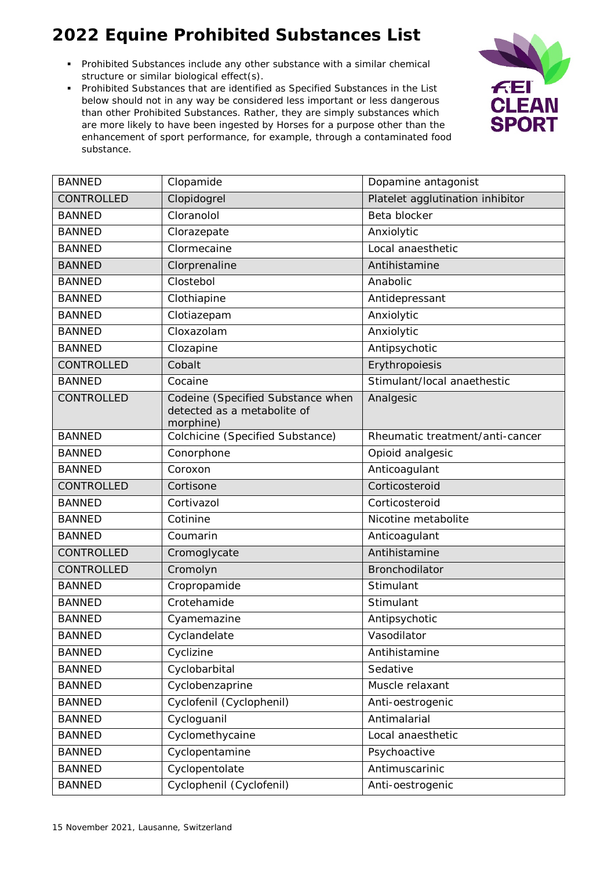- Prohibited Substances include any other substance with a similar chemical structure or similar biological effect(s).
- Prohibited Substances that are identified as Specified Substances in the List below should not in any way be considered less important or less dangerous than other Prohibited Substances. Rather, they are simply substances which are more likely to have been ingested by Horses for a purpose other than the enhancement of sport performance, for example, through a contaminated food substance.



| <b>BANNED</b>     | Clopamide                                                                     | Dopamine antagonist              |
|-------------------|-------------------------------------------------------------------------------|----------------------------------|
| CONTROLLED        | Clopidogrel                                                                   | Platelet agglutination inhibitor |
| <b>BANNED</b>     | Cloranolol                                                                    | Beta blocker                     |
| <b>BANNED</b>     | Clorazepate                                                                   | Anxiolytic                       |
| <b>BANNED</b>     | Clormecaine                                                                   | Local anaesthetic                |
| <b>BANNED</b>     | Clorprenaline                                                                 | Antihistamine                    |
| <b>BANNED</b>     | Clostebol                                                                     | Anabolic                         |
| <b>BANNED</b>     | Clothiapine                                                                   | Antidepressant                   |
| <b>BANNED</b>     | Clotiazepam                                                                   | Anxiolytic                       |
| <b>BANNED</b>     | Cloxazolam                                                                    | Anxiolytic                       |
| <b>BANNED</b>     | Clozapine                                                                     | Antipsychotic                    |
| CONTROLLED        | Cobalt                                                                        | Erythropoiesis                   |
| <b>BANNED</b>     | Cocaine                                                                       | Stimulant/local anaethestic      |
| CONTROLLED        | Codeine (Specified Substance when<br>detected as a metabolite of<br>morphine) | Analgesic                        |
| <b>BANNED</b>     | Colchicine (Specified Substance)                                              | Rheumatic treatment/anti-cancer  |
| <b>BANNED</b>     | Conorphone                                                                    | Opioid analgesic                 |
| <b>BANNED</b>     | Coroxon                                                                       | Anticoagulant                    |
| <b>CONTROLLED</b> | Cortisone                                                                     | Corticosteroid                   |
| <b>BANNED</b>     | Cortivazol                                                                    | Corticosteroid                   |
| <b>BANNED</b>     | Cotinine                                                                      | Nicotine metabolite              |
| <b>BANNED</b>     | Coumarin                                                                      | Anticoagulant                    |
| CONTROLLED        | Cromoglycate                                                                  | Antihistamine                    |
| CONTROLLED        | Cromolyn                                                                      | Bronchodilator                   |
| <b>BANNED</b>     | Cropropamide                                                                  | Stimulant                        |
| <b>BANNED</b>     | Crotehamide                                                                   | Stimulant                        |
| <b>BANNED</b>     | Cyamemazine                                                                   | Antipsychotic                    |
| <b>BANNED</b>     | Cyclandelate                                                                  | Vasodilator                      |
| <b>BANNED</b>     | Cyclizine                                                                     | Antihistamine                    |
| <b>BANNED</b>     | Cyclobarbital                                                                 | Sedative                         |
| <b>BANNED</b>     | Cyclobenzaprine                                                               | Muscle relaxant                  |
| <b>BANNED</b>     | Cyclofenil (Cyclophenil)                                                      | Anti-oestrogenic                 |
| <b>BANNED</b>     | Cycloguanil                                                                   | Antimalarial                     |
| <b>BANNED</b>     | Cyclomethycaine                                                               | Local anaesthetic                |
| <b>BANNED</b>     | Cyclopentamine                                                                | Psychoactive                     |
| <b>BANNED</b>     | Cyclopentolate                                                                | Antimuscarinic                   |
| <b>BANNED</b>     | Cyclophenil (Cyclofenil)                                                      | Anti-oestrogenic                 |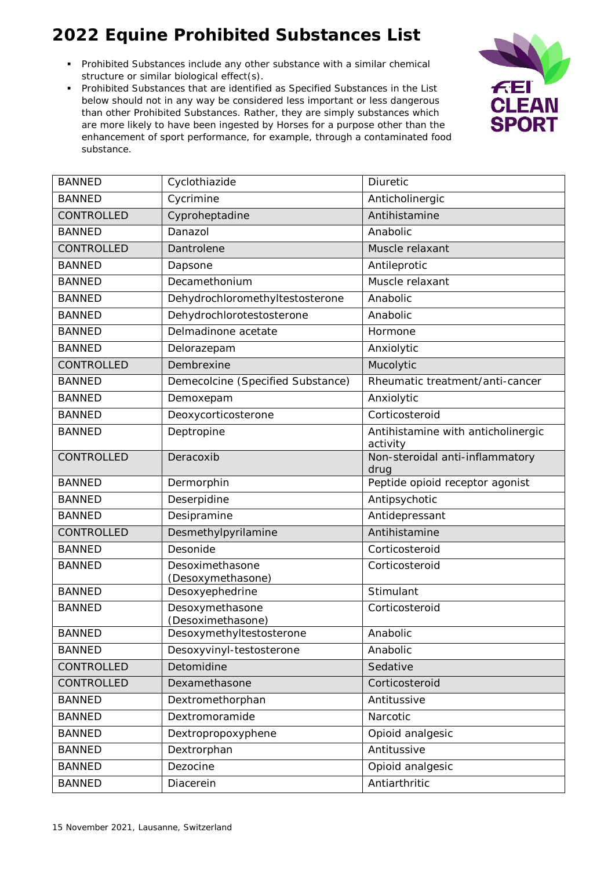- Prohibited Substances include any other substance with a similar chemical structure or similar biological effect(s).
- Prohibited Substances that are identified as Specified Substances in the List below should not in any way be considered less important or less dangerous than other Prohibited Substances. Rather, they are simply substances which are more likely to have been ingested by Horses for a purpose other than the enhancement of sport performance, for example, through a contaminated food substance.



| <b>BANNED</b> | Cyclothiazide                        | Diuretic                                       |
|---------------|--------------------------------------|------------------------------------------------|
| <b>BANNED</b> | Cycrimine                            | Anticholinergic                                |
| CONTROLLED    | Cyproheptadine                       | Antihistamine                                  |
| <b>BANNED</b> | Danazol                              | Anabolic                                       |
| CONTROLLED    | Dantrolene                           | Muscle relaxant                                |
| <b>BANNED</b> | Dapsone                              | Antileprotic                                   |
| <b>BANNED</b> | Decamethonium                        | Muscle relaxant                                |
| <b>BANNED</b> | Dehydrochloromethyltestosterone      | Anabolic                                       |
| <b>BANNED</b> | Dehydrochlorotestosterone            | Anabolic                                       |
| <b>BANNED</b> | Delmadinone acetate                  | Hormone                                        |
| <b>BANNED</b> | Delorazepam                          | Anxiolytic                                     |
| CONTROLLED    | Dembrexine                           | Mucolytic                                      |
| <b>BANNED</b> | Demecolcine (Specified Substance)    | Rheumatic treatment/anti-cancer                |
| <b>BANNED</b> | Demoxepam                            | Anxiolytic                                     |
| <b>BANNED</b> | Deoxycorticosterone                  | Corticosteroid                                 |
| <b>BANNED</b> | Deptropine                           | Antihistamine with anticholinergic<br>activity |
| CONTROLLED    | Deracoxib                            | Non-steroidal anti-inflammatory<br>drug        |
| <b>BANNED</b> | Dermorphin                           | Peptide opioid receptor agonist                |
| <b>BANNED</b> | Deserpidine                          | Antipsychotic                                  |
| <b>BANNED</b> | Desipramine                          | Antidepressant                                 |
| CONTROLLED    | Desmethylpyrilamine                  | Antihistamine                                  |
| <b>BANNED</b> | Desonide                             | Corticosteroid                                 |
| <b>BANNED</b> | Desoximethasone<br>(Desoxymethasone) | Corticosteroid                                 |
| <b>BANNED</b> | Desoxyephedrine                      | Stimulant                                      |
| <b>BANNED</b> | Desoxymethasone<br>(Desoximethasone) | Corticosteroid                                 |
| <b>BANNED</b> | Desoxymethyltestosterone             | Anabolic                                       |
| <b>BANNED</b> | Desoxyvinyl-testosterone             | Anabolic                                       |
| CONTROLLED    | Detomidine                           | Sedative                                       |
| CONTROLLED    | Dexamethasone                        | Corticosteroid                                 |
| <b>BANNED</b> | Dextromethorphan                     | Antitussive                                    |
| <b>BANNED</b> | Dextromoramide                       | Narcotic                                       |
| <b>BANNED</b> | Dextropropoxyphene                   | Opioid analgesic                               |
| <b>BANNED</b> | Dextrorphan                          | Antitussive                                    |
| <b>BANNED</b> | Dezocine                             | Opioid analgesic                               |
| <b>BANNED</b> | Diacerein                            | Antiarthritic                                  |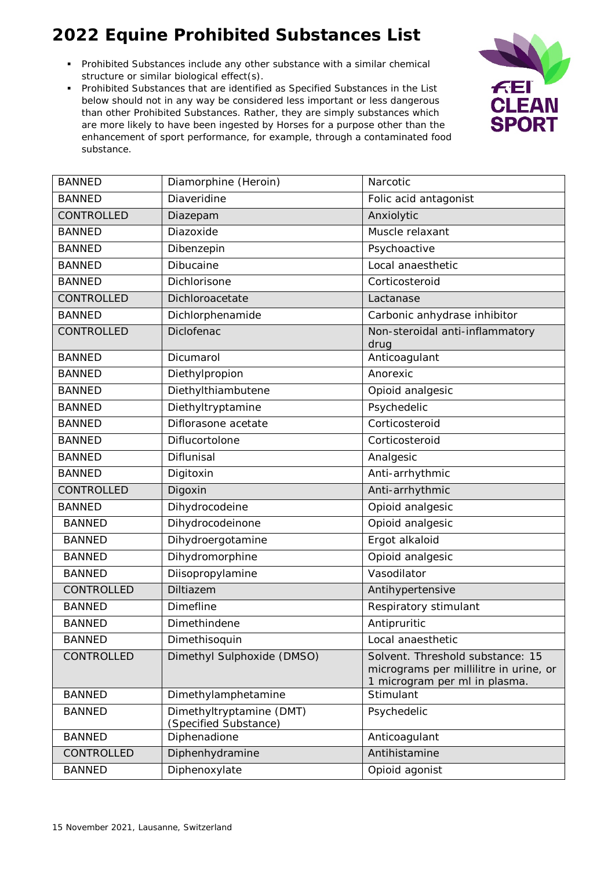- Prohibited Substances include any other substance with a similar chemical structure or similar biological effect(s).
- Prohibited Substances that are identified as Specified Substances in the List below should not in any way be considered less important or less dangerous than other Prohibited Substances. Rather, they are simply substances which are more likely to have been ingested by Horses for a purpose other than the enhancement of sport performance, for example, through a contaminated food substance.



| <b>BANNED</b>     | Diamorphine (Heroin)                              | Narcotic                                                                                                    |
|-------------------|---------------------------------------------------|-------------------------------------------------------------------------------------------------------------|
| <b>BANNED</b>     | Diaveridine                                       | Folic acid antagonist                                                                                       |
| CONTROLLED        | Diazepam                                          | Anxiolytic                                                                                                  |
| <b>BANNED</b>     | Diazoxide                                         | Muscle relaxant                                                                                             |
| <b>BANNED</b>     | Dibenzepin                                        | Psychoactive                                                                                                |
| <b>BANNED</b>     | Dibucaine                                         | Local anaesthetic                                                                                           |
| <b>BANNED</b>     | Dichlorisone                                      | Corticosteroid                                                                                              |
| <b>CONTROLLED</b> | Dichloroacetate                                   | Lactanase                                                                                                   |
| <b>BANNED</b>     | Dichlorphenamide                                  | Carbonic anhydrase inhibitor                                                                                |
| CONTROLLED        | Diclofenac                                        | Non-steroidal anti-inflammatory<br>drug                                                                     |
| <b>BANNED</b>     | Dicumarol                                         | Anticoagulant                                                                                               |
| <b>BANNED</b>     | Diethylpropion                                    | Anorexic                                                                                                    |
| <b>BANNED</b>     | Diethylthiambutene                                | Opioid analgesic                                                                                            |
| <b>BANNED</b>     | Diethyltryptamine                                 | Psychedelic                                                                                                 |
| <b>BANNED</b>     | Diflorasone acetate                               | Corticosteroid                                                                                              |
| <b>BANNED</b>     | Diflucortolone                                    | Corticosteroid                                                                                              |
| <b>BANNED</b>     | Diflunisal                                        | Analgesic                                                                                                   |
| <b>BANNED</b>     | Digitoxin                                         | Anti-arrhythmic                                                                                             |
| CONTROLLED        | Digoxin                                           | Anti-arrhythmic                                                                                             |
| <b>BANNED</b>     | Dihydrocodeine                                    | Opioid analgesic                                                                                            |
| <b>BANNED</b>     | Dihydrocodeinone                                  | Opioid analgesic                                                                                            |
| <b>BANNED</b>     | Dihydroergotamine                                 | Ergot alkaloid                                                                                              |
| <b>BANNED</b>     | Dihydromorphine                                   | Opioid analgesic                                                                                            |
| <b>BANNED</b>     | Diisopropylamine                                  | Vasodilator                                                                                                 |
| CONTROLLED        | Diltiazem                                         | Antihypertensive                                                                                            |
| <b>BANNED</b>     | <b>Dimefline</b>                                  | Respiratory stimulant                                                                                       |
| <b>BANNED</b>     | Dimethindene                                      | Antipruritic                                                                                                |
| <b>BANNED</b>     | Dimethisoquin                                     | Local anaesthetic                                                                                           |
| CONTROLLED        | Dimethyl Sulphoxide (DMSO)                        | Solvent. Threshold substance: 15<br>micrograms per millilitre in urine, or<br>1 microgram per ml in plasma. |
| <b>BANNED</b>     | Dimethylamphetamine                               | Stimulant                                                                                                   |
| <b>BANNED</b>     | Dimethyltryptamine (DMT)<br>(Specified Substance) | Psychedelic                                                                                                 |
| <b>BANNED</b>     | Diphenadione                                      | Anticoagulant                                                                                               |
| CONTROLLED        | Diphenhydramine                                   | Antihistamine                                                                                               |
| <b>BANNED</b>     | Diphenoxylate                                     | Opioid agonist                                                                                              |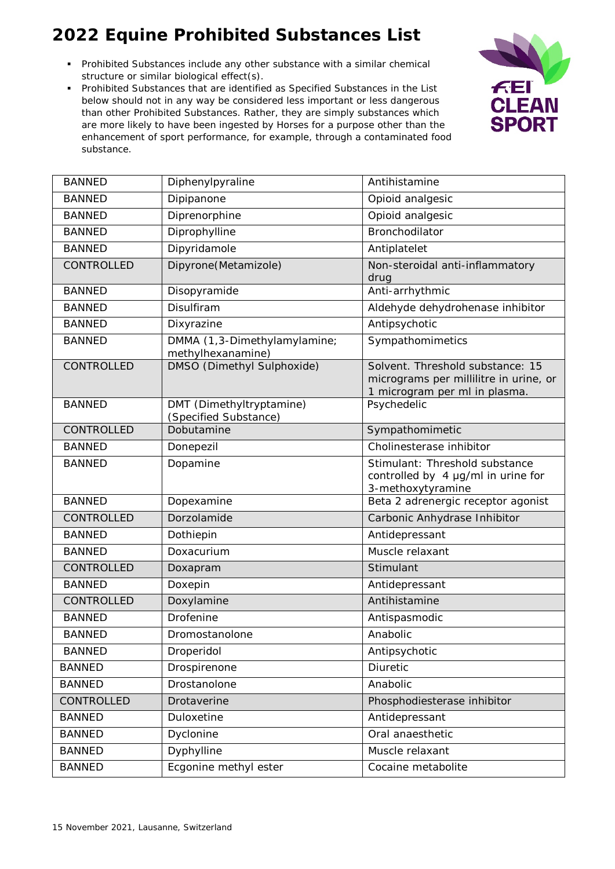- Prohibited Substances include any other substance with a similar chemical structure or similar biological effect(s).
- Prohibited Substances that are identified as Specified Substances in the List below should not in any way be considered less important or less dangerous than other Prohibited Substances. Rather, they are simply substances which are more likely to have been ingested by Horses for a purpose other than the enhancement of sport performance, for example, through a contaminated food substance.



| <b>BANNED</b> | Diphenylpyraline                                  | Antihistamine                                                                                               |
|---------------|---------------------------------------------------|-------------------------------------------------------------------------------------------------------------|
| <b>BANNED</b> | Dipipanone                                        | Opioid analgesic                                                                                            |
| <b>BANNED</b> | Diprenorphine                                     | Opioid analgesic                                                                                            |
| <b>BANNED</b> | Diprophylline                                     | <b>Bronchodilator</b>                                                                                       |
| <b>BANNED</b> | Dipyridamole                                      | Antiplatelet                                                                                                |
| CONTROLLED    | Dipyrone(Metamizole)                              | Non-steroidal anti-inflammatory<br>drug                                                                     |
| <b>BANNED</b> | Disopyramide                                      | Anti-arrhythmic                                                                                             |
| <b>BANNED</b> | Disulfiram                                        | Aldehyde dehydrohenase inhibitor                                                                            |
| <b>BANNED</b> | Dixyrazine                                        | Antipsychotic                                                                                               |
| <b>BANNED</b> | DMMA (1,3-Dimethylamylamine;<br>methylhexanamine) | Sympathomimetics                                                                                            |
| CONTROLLED    | DMSO (Dimethyl Sulphoxide)                        | Solvent. Threshold substance: 15<br>micrograms per millilitre in urine, or<br>1 microgram per ml in plasma. |
| <b>BANNED</b> | DMT (Dimethyltryptamine)<br>(Specified Substance) | Psychedelic                                                                                                 |
| CONTROLLED    | Dobutamine                                        | Sympathomimetic                                                                                             |
| <b>BANNED</b> | Donepezil                                         | Cholinesterase inhibitor                                                                                    |
| <b>BANNED</b> | Dopamine                                          | Stimulant: Threshold substance<br>controlled by 4 µg/ml in urine for<br>3-methoxytyramine                   |
| <b>BANNED</b> | Dopexamine                                        | Beta 2 adrenergic receptor agonist                                                                          |
| CONTROLLED    | Dorzolamide                                       | Carbonic Anhydrase Inhibitor                                                                                |
| <b>BANNED</b> | Dothiepin                                         | Antidepressant                                                                                              |
| <b>BANNED</b> | Doxacurium                                        | Muscle relaxant                                                                                             |
| CONTROLLED    | Doxapram                                          | Stimulant                                                                                                   |
| <b>BANNED</b> | Doxepin                                           | Antidepressant                                                                                              |
| CONTROLLED    | Doxylamine                                        | Antihistamine                                                                                               |
| <b>BANNED</b> | Drofenine                                         | Antispasmodic                                                                                               |
| <b>BANNED</b> | Dromostanolone                                    | Anabolic                                                                                                    |
| <b>BANNED</b> | Droperidol                                        | Antipsychotic                                                                                               |
| <b>BANNED</b> | Drospirenone                                      | <b>Diuretic</b>                                                                                             |
| <b>BANNED</b> | Drostanolone                                      | Anabolic                                                                                                    |
| CONTROLLED    | Drotaverine                                       | Phosphodiesterase inhibitor                                                                                 |
| <b>BANNED</b> | Duloxetine                                        | Antidepressant                                                                                              |
| <b>BANNED</b> | Dyclonine                                         | Oral anaesthetic                                                                                            |
| <b>BANNED</b> | Dyphylline                                        | Muscle relaxant                                                                                             |
| <b>BANNED</b> | Ecgonine methyl ester                             | Cocaine metabolite                                                                                          |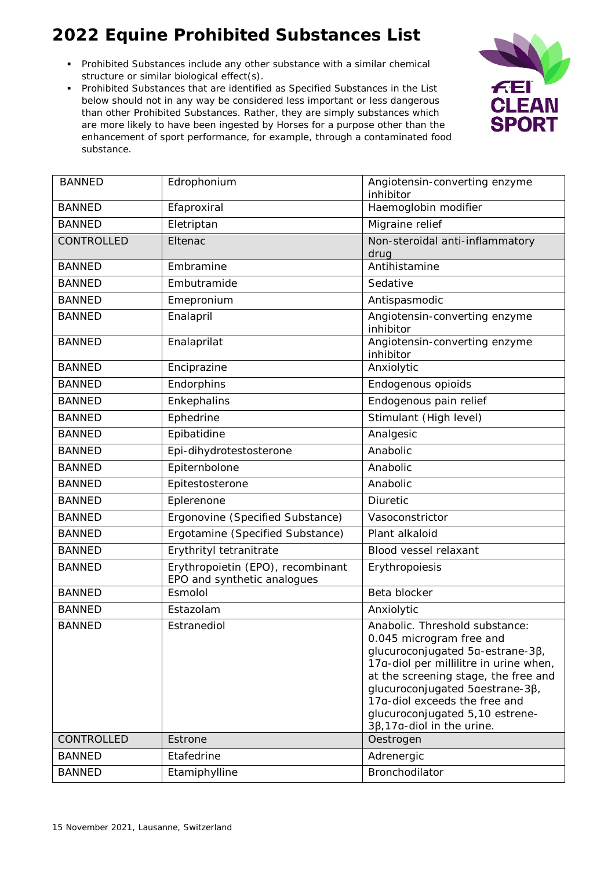- Prohibited Substances include any other substance with a similar chemical structure or similar biological effect(s).
- Prohibited Substances that are identified as Specified Substances in the List below should not in any way be considered less important or less dangerous than other Prohibited Substances. Rather, they are simply substances which are more likely to have been ingested by Horses for a purpose other than the enhancement of sport performance, for example, through a contaminated food substance.



| <b>BANNED</b> | Edrophonium                                                      | Angiotensin-converting enzyme<br>inhibitor                                                                                                                                                                                                                                                                                    |
|---------------|------------------------------------------------------------------|-------------------------------------------------------------------------------------------------------------------------------------------------------------------------------------------------------------------------------------------------------------------------------------------------------------------------------|
| <b>BANNED</b> | Efaproxiral                                                      | Haemoglobin modifier                                                                                                                                                                                                                                                                                                          |
| <b>BANNED</b> | Eletriptan                                                       | Migraine relief                                                                                                                                                                                                                                                                                                               |
| CONTROLLED    | Eltenac                                                          | Non-steroidal anti-inflammatory<br>drug                                                                                                                                                                                                                                                                                       |
| <b>BANNED</b> | Embramine                                                        | Antihistamine                                                                                                                                                                                                                                                                                                                 |
| <b>BANNED</b> | Embutramide                                                      | Sedative                                                                                                                                                                                                                                                                                                                      |
| <b>BANNED</b> | Emepronium                                                       | Antispasmodic                                                                                                                                                                                                                                                                                                                 |
| <b>BANNED</b> | Enalapril                                                        | Angiotensin-converting enzyme<br>inhibitor                                                                                                                                                                                                                                                                                    |
| <b>BANNED</b> | Enalaprilat                                                      | Angiotensin-converting enzyme<br>inhibitor                                                                                                                                                                                                                                                                                    |
| <b>BANNED</b> | Enciprazine                                                      | Anxiolytic                                                                                                                                                                                                                                                                                                                    |
| <b>BANNED</b> | Endorphins                                                       | Endogenous opioids                                                                                                                                                                                                                                                                                                            |
| <b>BANNED</b> | Enkephalins                                                      | Endogenous pain relief                                                                                                                                                                                                                                                                                                        |
| <b>BANNED</b> | Ephedrine                                                        | Stimulant (High level)                                                                                                                                                                                                                                                                                                        |
| <b>BANNED</b> | Epibatidine                                                      | Analgesic                                                                                                                                                                                                                                                                                                                     |
| <b>BANNED</b> | Epi-dihydrotestosterone                                          | Anabolic                                                                                                                                                                                                                                                                                                                      |
| <b>BANNED</b> | Epiternbolone                                                    | Anabolic                                                                                                                                                                                                                                                                                                                      |
| <b>BANNED</b> | Epitestosterone                                                  | Anabolic                                                                                                                                                                                                                                                                                                                      |
| <b>BANNED</b> | Eplerenone                                                       | Diuretic                                                                                                                                                                                                                                                                                                                      |
| <b>BANNED</b> | Ergonovine (Specified Substance)                                 | Vasoconstrictor                                                                                                                                                                                                                                                                                                               |
| <b>BANNED</b> | Ergotamine (Specified Substance)                                 | Plant alkaloid                                                                                                                                                                                                                                                                                                                |
| <b>BANNED</b> | Erythrityl tetranitrate                                          | Blood vessel relaxant                                                                                                                                                                                                                                                                                                         |
| <b>BANNED</b> | Erythropoietin (EPO), recombinant<br>EPO and synthetic analogues | Erythropoiesis                                                                                                                                                                                                                                                                                                                |
| <b>BANNED</b> | Esmolol                                                          | Beta blocker                                                                                                                                                                                                                                                                                                                  |
| <b>BANNED</b> | Estazolam                                                        | Anxiolytic                                                                                                                                                                                                                                                                                                                    |
| <b>BANNED</b> | Estranediol                                                      | Anabolic. Threshold substance:<br>0.045 microgram free and<br>glucuroconjugated 5α-estrane-3β,<br>17a-diol per millilitre in urine when,<br>at the screening stage, the free and<br>glucuroconjugated 5 aestrane-3β,<br>17a-diol exceeds the free and<br>glucuroconjugated 5,10 estrene-<br>$3\beta$ , 17a-diol in the urine. |
| CONTROLLED    | Estrone                                                          | Oestrogen                                                                                                                                                                                                                                                                                                                     |
| <b>BANNED</b> | Etafedrine                                                       | Adrenergic                                                                                                                                                                                                                                                                                                                    |
| <b>BANNED</b> | Etamiphylline                                                    | Bronchodilator                                                                                                                                                                                                                                                                                                                |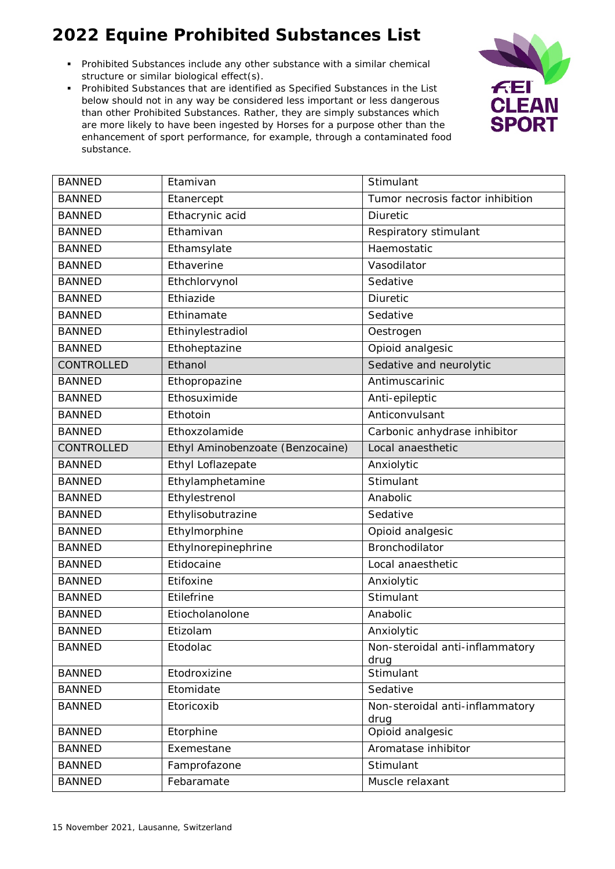- Prohibited Substances include any other substance with a similar chemical structure or similar biological effect(s).
- Prohibited Substances that are identified as Specified Substances in the List below should not in any way be considered less important or less dangerous than other Prohibited Substances. Rather, they are simply substances which are more likely to have been ingested by Horses for a purpose other than the enhancement of sport performance, for example, through a contaminated food substance.



| <b>BANNED</b>     | Etamivan                         | Stimulant                               |
|-------------------|----------------------------------|-----------------------------------------|
| <b>BANNED</b>     | Etanercept                       | Tumor necrosis factor inhibition        |
| <b>BANNED</b>     | Ethacrynic acid                  | Diuretic                                |
| <b>BANNED</b>     | Ethamivan                        | Respiratory stimulant                   |
| <b>BANNED</b>     | Ethamsylate                      | Haemostatic                             |
| <b>BANNED</b>     | Ethaverine                       | Vasodilator                             |
| <b>BANNED</b>     | Ethchlorvynol                    | Sedative                                |
| <b>BANNED</b>     | Ethiazide                        | <b>Diuretic</b>                         |
| <b>BANNED</b>     | Ethinamate                       | Sedative                                |
| <b>BANNED</b>     | Ethinylestradiol                 | Oestrogen                               |
| <b>BANNED</b>     | Ethoheptazine                    | Opioid analgesic                        |
| CONTROLLED        | Ethanol                          | Sedative and neurolytic                 |
| <b>BANNED</b>     | Ethopropazine                    | Antimuscarinic                          |
| <b>BANNED</b>     | Ethosuximide                     | Anti-epileptic                          |
| <b>BANNED</b>     | Ethotoin                         | Anticonvulsant                          |
| <b>BANNED</b>     | Ethoxzolamide                    | Carbonic anhydrase inhibitor            |
| <b>CONTROLLED</b> | Ethyl Aminobenzoate (Benzocaine) | Local anaesthetic                       |
| <b>BANNED</b>     | Ethyl Loflazepate                | Anxiolytic                              |
| <b>BANNED</b>     | Ethylamphetamine                 | Stimulant                               |
| <b>BANNED</b>     | Ethylestrenol                    | Anabolic                                |
| <b>BANNED</b>     | Ethylisobutrazine                | Sedative                                |
| <b>BANNED</b>     | Ethylmorphine                    | Opioid analgesic                        |
| <b>BANNED</b>     | Ethylnorepinephrine              | Bronchodilator                          |
| <b>BANNED</b>     | Etidocaine                       | Local anaesthetic                       |
| <b>BANNED</b>     | Etifoxine                        | Anxiolytic                              |
| <b>BANNED</b>     | Etilefrine                       | Stimulant                               |
| <b>BANNED</b>     | Etiocholanolone                  | Anabolic                                |
| <b>BANNED</b>     | Etizolam                         | Anxiolytic                              |
| <b>BANNED</b>     | Etodolac                         | Non-steroidal anti-inflammatory<br>drug |
| <b>BANNED</b>     | Etodroxizine                     | Stimulant                               |
| <b>BANNED</b>     | Etomidate                        | Sedative                                |
| <b>BANNED</b>     | Etoricoxib                       | Non-steroidal anti-inflammatory<br>drug |
| <b>BANNED</b>     | Etorphine                        | Opioid analgesic                        |
| <b>BANNED</b>     | Exemestane                       | Aromatase inhibitor                     |
| <b>BANNED</b>     | Famprofazone                     | Stimulant                               |
| <b>BANNED</b>     | Febaramate                       | Muscle relaxant                         |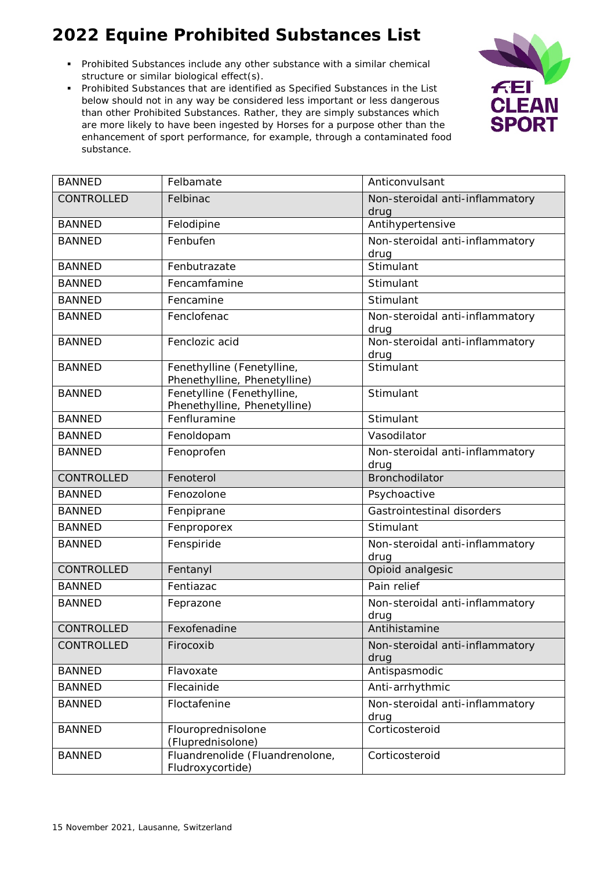- Prohibited Substances include any other substance with a similar chemical structure or similar biological effect(s).
- Prohibited Substances that are identified as Specified Substances in the List below should not in any way be considered less important or less dangerous than other Prohibited Substances. Rather, they are simply substances which are more likely to have been ingested by Horses for a purpose other than the enhancement of sport performance, for example, through a contaminated food substance.



| <b>BANNED</b> | Felbamate                                                  | Anticonvulsant                          |
|---------------|------------------------------------------------------------|-----------------------------------------|
| CONTROLLED    | Felbinac                                                   | Non-steroidal anti-inflammatory         |
|               |                                                            | drug                                    |
| <b>BANNED</b> | Felodipine                                                 | Antihypertensive                        |
| <b>BANNED</b> | Fenbufen                                                   | Non-steroidal anti-inflammatory         |
| <b>BANNED</b> | Fenbutrazate                                               | drug<br>Stimulant                       |
| <b>BANNED</b> | Fencamfamine                                               | Stimulant                               |
|               |                                                            | Stimulant                               |
| <b>BANNED</b> | Fencamine                                                  |                                         |
| <b>BANNED</b> | Fenclofenac                                                | Non-steroidal anti-inflammatory<br>drug |
| <b>BANNED</b> | Fenclozic acid                                             | Non-steroidal anti-inflammatory         |
|               |                                                            | drug                                    |
| <b>BANNED</b> | Fenethylline (Fenetylline,                                 | Stimulant                               |
| <b>BANNED</b> | Phenethylline, Phenetylline)<br>Fenetylline (Fenethylline, | Stimulant                               |
|               | Phenethylline, Phenetylline)                               |                                         |
| <b>BANNED</b> | Fenfluramine                                               | Stimulant                               |
| <b>BANNED</b> | Fenoldopam                                                 | Vasodilator                             |
| <b>BANNED</b> | Fenoprofen                                                 | Non-steroidal anti-inflammatory         |
|               |                                                            | drug                                    |
| CONTROLLED    | Fenoterol                                                  | Bronchodilator                          |
| <b>BANNED</b> | Fenozolone                                                 | Psychoactive                            |
| <b>BANNED</b> | Fenpiprane                                                 | Gastrointestinal disorders              |
| <b>BANNED</b> | Fenproporex                                                | Stimulant                               |
| <b>BANNED</b> | Fenspiride                                                 | Non-steroidal anti-inflammatory         |
|               |                                                            | drug                                    |
| CONTROLLED    | Fentanyl                                                   | Opioid analgesic                        |
| <b>BANNED</b> | Fentiazac                                                  | Pain relief                             |
| <b>BANNED</b> | Feprazone                                                  | Non-steroidal anti-inflammatory         |
|               |                                                            | drug                                    |
| CONTROLLED    | Fexofenadine                                               | Antihistamine                           |
| CONTROLLED    | Firocoxib                                                  | Non-steroidal anti-inflammatory<br>drug |
| <b>BANNED</b> | Flavoxate                                                  | Antispasmodic                           |
| <b>BANNED</b> | Flecainide                                                 | Anti-arrhythmic                         |
| <b>BANNED</b> | Floctafenine                                               | Non-steroidal anti-inflammatory         |
|               |                                                            | drug                                    |
| <b>BANNED</b> | Flouroprednisolone                                         | Corticosteroid                          |
|               | (Fluprednisolone)                                          |                                         |
| <b>BANNED</b> | Fluandrenolide (Fluandrenolone,<br>Fludroxycortide)        | Corticosteroid                          |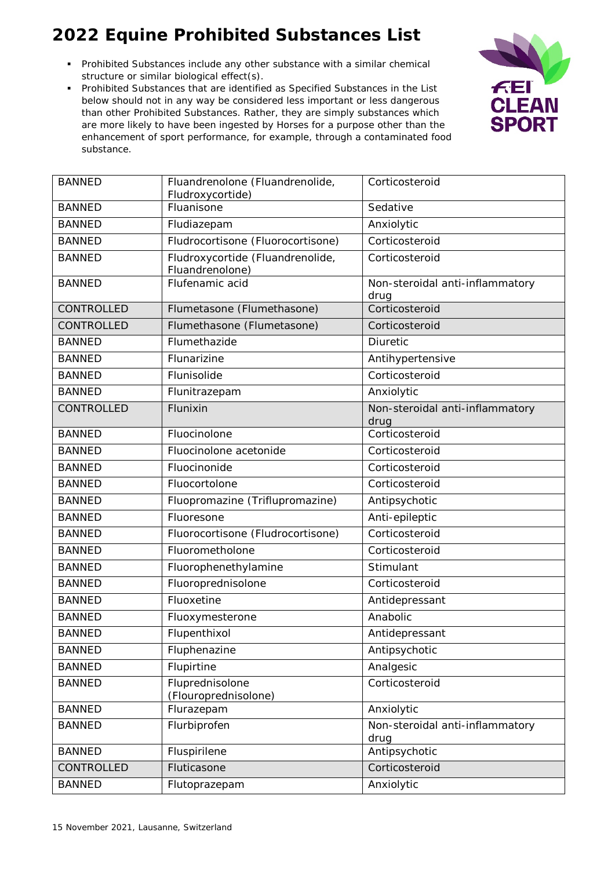- Prohibited Substances include any other substance with a similar chemical structure or similar biological effect(s).
- Prohibited Substances that are identified as Specified Substances in the List below should not in any way be considered less important or less dangerous than other Prohibited Substances. Rather, they are simply substances which are more likely to have been ingested by Horses for a purpose other than the enhancement of sport performance, for example, through a contaminated food substance.



| <b>BANNED</b> | Fluandrenolone (Fluandrenolide,<br>Fludroxycortide) | Corticosteroid                          |
|---------------|-----------------------------------------------------|-----------------------------------------|
| <b>BANNED</b> | Fluanisone                                          | Sedative                                |
| <b>BANNED</b> | Fludiazepam                                         | Anxiolytic                              |
| <b>BANNED</b> | Fludrocortisone (Fluorocortisone)                   | Corticosteroid                          |
| <b>BANNED</b> | Fludroxycortide (Fluandrenolide,<br>Fluandrenolone) | Corticosteroid                          |
| <b>BANNED</b> | Flufenamic acid                                     | Non-steroidal anti-inflammatory<br>drug |
| CONTROLLED    | Flumetasone (Flumethasone)                          | Corticosteroid                          |
| CONTROLLED    | Flumethasone (Flumetasone)                          | Corticosteroid                          |
| <b>BANNED</b> | Flumethazide                                        | Diuretic                                |
| <b>BANNED</b> | Flunarizine                                         | Antihypertensive                        |
| <b>BANNED</b> | Flunisolide                                         | Corticosteroid                          |
| <b>BANNED</b> | Flunitrazepam                                       | Anxiolytic                              |
| CONTROLLED    | Flunixin                                            | Non-steroidal anti-inflammatory<br>drug |
| <b>BANNED</b> | Fluocinolone                                        | Corticosteroid                          |
| <b>BANNED</b> | Fluocinolone acetonide                              | Corticosteroid                          |
| <b>BANNED</b> | Fluocinonide                                        | Corticosteroid                          |
| <b>BANNED</b> | Fluocortolone                                       | Corticosteroid                          |
| <b>BANNED</b> | Fluopromazine (Triflupromazine)                     | Antipsychotic                           |
| <b>BANNED</b> | Fluoresone                                          | Anti-epileptic                          |
| <b>BANNED</b> | Fluorocortisone (Fludrocortisone)                   | Corticosteroid                          |
| <b>BANNED</b> | Fluorometholone                                     | Corticosteroid                          |
| <b>BANNED</b> | Fluorophenethylamine                                | Stimulant                               |
| <b>BANNED</b> | Fluoroprednisolone                                  | Corticosteroid                          |
| <b>BANNED</b> | Fluoxetine                                          | Antidepressant                          |
| <b>BANNED</b> | Fluoxymesterone                                     | Anabolic                                |
| <b>BANNED</b> | Flupenthixol                                        | Antidepressant                          |
| <b>BANNED</b> | Fluphenazine                                        | Antipsychotic                           |
| <b>BANNED</b> | Flupirtine                                          | Analgesic                               |
| <b>BANNED</b> | Fluprednisolone<br>(Flouroprednisolone)             | Corticosteroid                          |
| <b>BANNED</b> | Flurazepam                                          | Anxiolytic                              |
| <b>BANNED</b> | Flurbiprofen                                        | Non-steroidal anti-inflammatory<br>drug |
| <b>BANNED</b> | Fluspirilene                                        | Antipsychotic                           |
| CONTROLLED    | Fluticasone                                         | Corticosteroid                          |
| <b>BANNED</b> | Flutoprazepam                                       | Anxiolytic                              |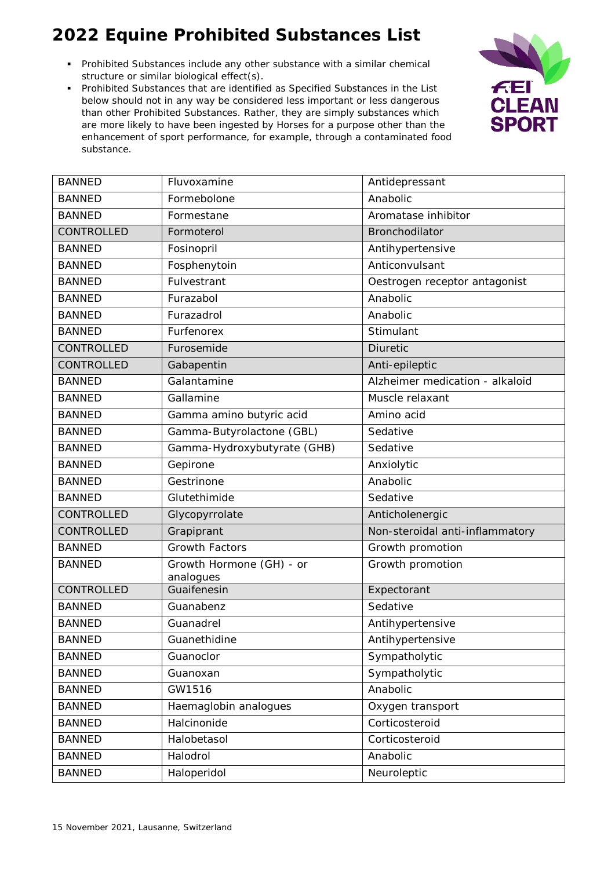- Prohibited Substances include any other substance with a similar chemical structure or similar biological effect(s).
- Prohibited Substances that are identified as Specified Substances in the List below should not in any way be considered less important or less dangerous than other Prohibited Substances. Rather, they are simply substances which are more likely to have been ingested by Horses for a purpose other than the enhancement of sport performance, for example, through a contaminated food substance.



| <b>BANNED</b> | Fluvoxamine                           | Antidepressant                  |
|---------------|---------------------------------------|---------------------------------|
| <b>BANNED</b> | Formebolone                           | Anabolic                        |
| <b>BANNED</b> | Formestane                            | Aromatase inhibitor             |
| CONTROLLED    | Formoterol                            | Bronchodilator                  |
| <b>BANNED</b> | Fosinopril                            | Antihypertensive                |
| <b>BANNED</b> | Fosphenytoin                          | Anticonvulsant                  |
| <b>BANNED</b> | Fulvestrant                           | Oestrogen receptor antagonist   |
| <b>BANNED</b> | Furazabol                             | Anabolic                        |
| <b>BANNED</b> | Furazadrol                            | Anabolic                        |
| <b>BANNED</b> | Furfenorex                            | Stimulant                       |
| CONTROLLED    | Furosemide                            | <b>Diuretic</b>                 |
| CONTROLLED    | Gabapentin                            | Anti-epileptic                  |
| <b>BANNED</b> | Galantamine                           | Alzheimer medication - alkaloid |
| <b>BANNED</b> | Gallamine                             | Muscle relaxant                 |
| <b>BANNED</b> | Gamma amino butyric acid              | Amino acid                      |
| <b>BANNED</b> | Gamma-Butyrolactone (GBL)             | Sedative                        |
| <b>BANNED</b> | Gamma-Hydroxybutyrate (GHB)           | Sedative                        |
| <b>BANNED</b> | Gepirone                              | Anxiolytic                      |
| <b>BANNED</b> | Gestrinone                            | Anabolic                        |
| <b>BANNED</b> | Glutethimide                          | Sedative                        |
| CONTROLLED    | Glycopyrrolate                        | Anticholenergic                 |
| CONTROLLED    | Grapiprant                            | Non-steroidal anti-inflammatory |
| <b>BANNED</b> | <b>Growth Factors</b>                 | Growth promotion                |
| <b>BANNED</b> | Growth Hormone (GH) - or<br>analogues | Growth promotion                |
| CONTROLLED    | Guaifenesin                           | Expectorant                     |
| <b>BANNED</b> | Guanabenz                             | Sedative                        |
| <b>BANNED</b> | Guanadrel                             | Antihypertensive                |
| <b>BANNED</b> | Guanethidine                          | Antihypertensive                |
| <b>BANNED</b> | Guanoclor                             | Sympatholytic                   |
| <b>BANNED</b> | Guanoxan                              | Sympatholytic                   |
| <b>BANNED</b> | GW1516                                | Anabolic                        |
| <b>BANNED</b> | Haemaglobin analogues                 | Oxygen transport                |
| <b>BANNED</b> | Halcinonide                           | Corticosteroid                  |
| <b>BANNED</b> | Halobetasol                           | Corticosteroid                  |
| <b>BANNED</b> | Halodrol                              | Anabolic                        |
| <b>BANNED</b> | Haloperidol                           | Neuroleptic                     |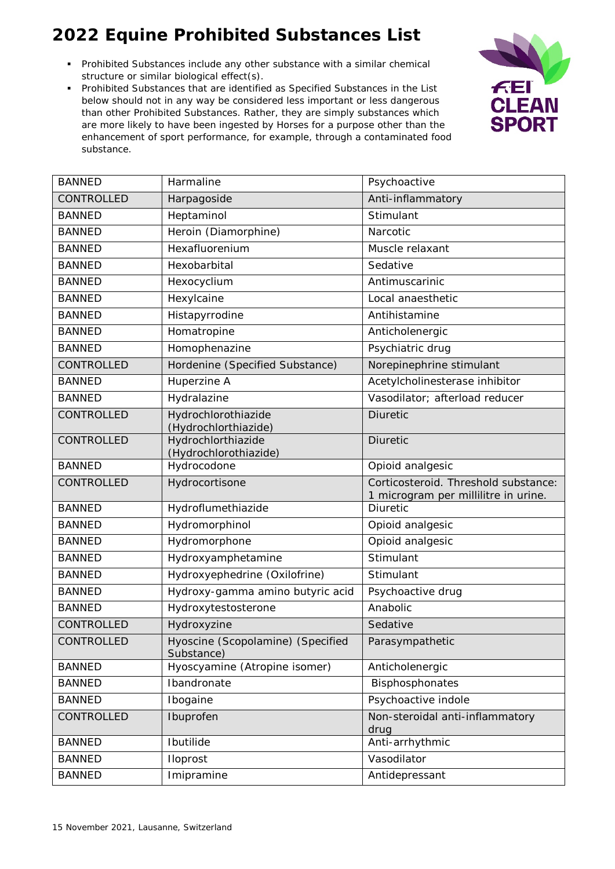- Prohibited Substances include any other substance with a similar chemical structure or similar biological effect(s).
- Prohibited Substances that are identified as Specified Substances in the List below should not in any way be considered less important or less dangerous than other Prohibited Substances. Rather, they are simply substances which are more likely to have been ingested by Horses for a purpose other than the enhancement of sport performance, for example, through a contaminated food substance.



| <b>BANNED</b>     | Harmaline                                       | Psychoactive                                                                 |
|-------------------|-------------------------------------------------|------------------------------------------------------------------------------|
| CONTROLLED        | Harpagoside                                     | Anti-inflammatory                                                            |
| <b>BANNED</b>     | Heptaminol                                      | Stimulant                                                                    |
| <b>BANNED</b>     | Heroin (Diamorphine)                            | Narcotic                                                                     |
| <b>BANNED</b>     | Hexafluorenium                                  | Muscle relaxant                                                              |
| <b>BANNED</b>     | Hexobarbital                                    | Sedative                                                                     |
| <b>BANNED</b>     | Hexocyclium                                     | Antimuscarinic                                                               |
| <b>BANNED</b>     | Hexylcaine                                      | Local anaesthetic                                                            |
| <b>BANNED</b>     | Histapyrrodine                                  | Antihistamine                                                                |
| <b>BANNED</b>     | Homatropine                                     | Anticholenergic                                                              |
| <b>BANNED</b>     | Homophenazine                                   | Psychiatric drug                                                             |
| CONTROLLED        | Hordenine (Specified Substance)                 | Norepinephrine stimulant                                                     |
| <b>BANNED</b>     | Huperzine A                                     | Acetylcholinesterase inhibitor                                               |
| <b>BANNED</b>     | Hydralazine                                     | Vasodilator; afterload reducer                                               |
| <b>CONTROLLED</b> | Hydrochlorothiazide<br>(Hydrochlorthiazide)     | <b>Diuretic</b>                                                              |
| CONTROLLED        | Hydrochlorthiazide<br>(Hydrochlorothiazide)     | <b>Diuretic</b>                                                              |
| <b>BANNED</b>     | Hydrocodone                                     | Opioid analgesic                                                             |
| CONTROLLED        | Hydrocortisone                                  | Corticosteroid. Threshold substance:<br>1 microgram per millilitre in urine. |
| <b>BANNED</b>     | Hydroflumethiazide                              | <b>Diuretic</b>                                                              |
| <b>BANNED</b>     | Hydromorphinol                                  | Opioid analgesic                                                             |
| <b>BANNED</b>     | Hydromorphone                                   | Opioid analgesic                                                             |
| <b>BANNED</b>     | Hydroxyamphetamine                              | Stimulant                                                                    |
| <b>BANNED</b>     | Hydroxyephedrine (Oxilofrine)                   | Stimulant                                                                    |
| <b>BANNED</b>     | Hydroxy-gamma amino butyric acid                | Psychoactive drug                                                            |
| <b>BANNED</b>     | Hydroxytestosterone                             | Anabolic                                                                     |
| CONTROLLED        | Hydroxyzine                                     | Sedative                                                                     |
| CONTROLLED        | Hyoscine (Scopolamine) (Specified<br>Substance) | Parasympathetic                                                              |
| <b>BANNED</b>     | Hyoscyamine (Atropine isomer)                   | Anticholenergic                                                              |
| <b>BANNED</b>     | Ibandronate                                     | Bisphosphonates                                                              |
| <b>BANNED</b>     | Ibogaine                                        | Psychoactive indole                                                          |
| CONTROLLED        | Ibuprofen                                       | Non-steroidal anti-inflammatory<br>drug                                      |
| <b>BANNED</b>     | Ibutilide                                       | Anti-arrhythmic                                                              |
| <b>BANNED</b>     | Iloprost                                        | Vasodilator                                                                  |
| <b>BANNED</b>     | Imipramine                                      | Antidepressant                                                               |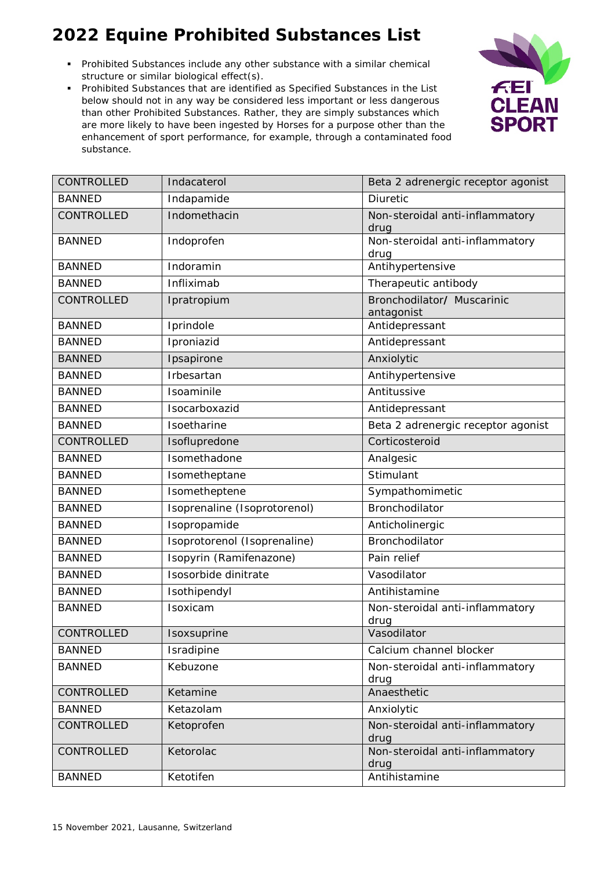- Prohibited Substances include any other substance with a similar chemical structure or similar biological effect(s).
- Prohibited Substances that are identified as Specified Substances in the List below should not in any way be considered less important or less dangerous than other Prohibited Substances. Rather, they are simply substances which are more likely to have been ingested by Horses for a purpose other than the enhancement of sport performance, for example, through a contaminated food substance.



| CONTROLLED    | Indacaterol                  | Beta 2 adrenergic receptor agonist       |
|---------------|------------------------------|------------------------------------------|
| <b>BANNED</b> | Indapamide                   | <b>Diuretic</b>                          |
| CONTROLLED    | Indomethacin                 | Non-steroidal anti-inflammatory<br>drug  |
| <b>BANNED</b> | Indoprofen                   | Non-steroidal anti-inflammatory<br>drug  |
| <b>BANNED</b> | Indoramin                    | Antihypertensive                         |
| <b>BANNED</b> | Infliximab                   | Therapeutic antibody                     |
| CONTROLLED    | Ipratropium                  | Bronchodilator/ Muscarinic<br>antagonist |
| <b>BANNED</b> | Iprindole                    | Antidepressant                           |
| <b>BANNED</b> | Iproniazid                   | Antidepressant                           |
| <b>BANNED</b> | Ipsapirone                   | Anxiolytic                               |
| <b>BANNED</b> | Irbesartan                   | Antihypertensive                         |
| <b>BANNED</b> | Isoaminile                   | Antitussive                              |
| <b>BANNED</b> | Isocarboxazid                | Antidepressant                           |
| <b>BANNED</b> | Isoetharine                  | Beta 2 adrenergic receptor agonist       |
| CONTROLLED    | Isoflupredone                | Corticosteroid                           |
| <b>BANNED</b> | Isomethadone                 | Analgesic                                |
| <b>BANNED</b> | Isometheptane                | Stimulant                                |
| <b>BANNED</b> | Isometheptene                | Sympathomimetic                          |
| <b>BANNED</b> | Isoprenaline (Isoprotorenol) | Bronchodilator                           |
| <b>BANNED</b> | Isopropamide                 | Anticholinergic                          |
| <b>BANNED</b> | Isoprotorenol (Isoprenaline) | Bronchodilator                           |
| <b>BANNED</b> | Isopyrin (Ramifenazone)      | Pain relief                              |
| <b>BANNED</b> | Isosorbide dinitrate         | Vasodilator                              |
| <b>BANNED</b> | Isothipendyl                 | Antihistamine                            |
| <b>BANNED</b> | Isoxicam                     | Non-steroidal anti-inflammatory<br>drug  |
| CONTROLLED    | Isoxsuprine                  | Vasodilator                              |
| <b>BANNED</b> | Isradipine                   | Calcium channel blocker                  |
| <b>BANNED</b> | Kebuzone                     | Non-steroidal anti-inflammatory<br>drug  |
| CONTROLLED    | Ketamine                     | Anaesthetic                              |
| <b>BANNED</b> | Ketazolam                    | Anxiolytic                               |
| CONTROLLED    | Ketoprofen                   | Non-steroidal anti-inflammatory<br>drug  |
| CONTROLLED    | Ketorolac                    | Non-steroidal anti-inflammatory<br>drug  |
| <b>BANNED</b> | Ketotifen                    | Antihistamine                            |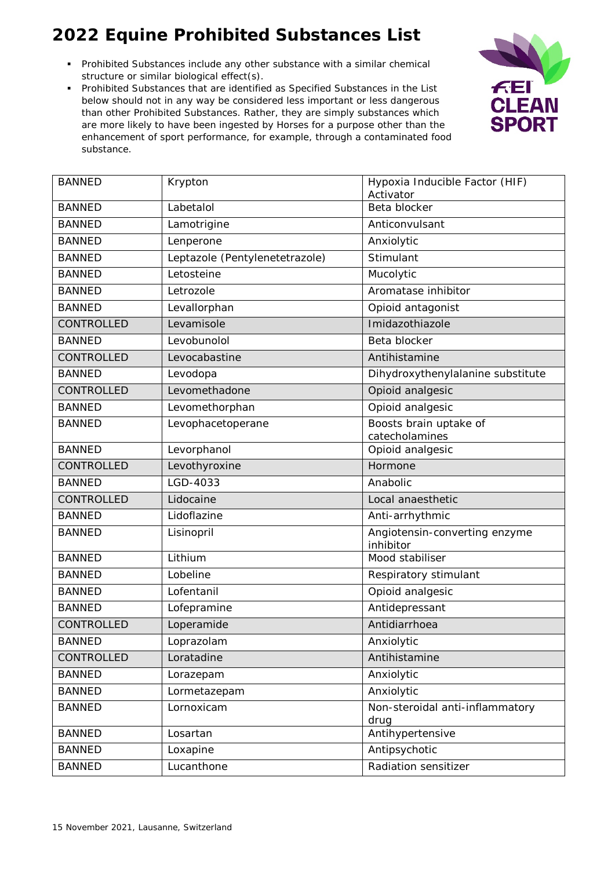- Prohibited Substances include any other substance with a similar chemical structure or similar biological effect(s).
- Prohibited Substances that are identified as Specified Substances in the List below should not in any way be considered less important or less dangerous than other Prohibited Substances. Rather, they are simply substances which are more likely to have been ingested by Horses for a purpose other than the enhancement of sport performance, for example, through a contaminated food substance.



| <b>BANNED</b>     | Krypton                        | Hypoxia Inducible Factor (HIF)<br>Activator |
|-------------------|--------------------------------|---------------------------------------------|
| <b>BANNED</b>     | Labetalol                      | Beta blocker                                |
| <b>BANNED</b>     | Lamotrigine                    | Anticonvulsant                              |
| <b>BANNED</b>     | Lenperone                      | Anxiolytic                                  |
| <b>BANNED</b>     | Leptazole (Pentylenetetrazole) | Stimulant                                   |
| <b>BANNED</b>     | Letosteine                     | Mucolytic                                   |
| <b>BANNED</b>     | Letrozole                      | Aromatase inhibitor                         |
| <b>BANNED</b>     | Levallorphan                   | Opioid antagonist                           |
| CONTROLLED        | Levamisole                     | Imidazothiazole                             |
| <b>BANNED</b>     | Levobunolol                    | Beta blocker                                |
| CONTROLLED        | Levocabastine                  | Antihistamine                               |
| <b>BANNED</b>     | Levodopa                       | Dihydroxythenylalanine substitute           |
| <b>CONTROLLED</b> | Levomethadone                  | Opioid analgesic                            |
| <b>BANNED</b>     | Levomethorphan                 | Opioid analgesic                            |
| <b>BANNED</b>     | Levophacetoperane              | Boosts brain uptake of<br>catecholamines    |
| <b>BANNED</b>     | Levorphanol                    | Opioid analgesic                            |
| <b>CONTROLLED</b> | Levothyroxine                  | Hormone                                     |
| <b>BANNED</b>     | LGD-4033                       | Anabolic                                    |
| CONTROLLED        | Lidocaine                      | Local anaesthetic                           |
| <b>BANNED</b>     | Lidoflazine                    | Anti-arrhythmic                             |
| <b>BANNED</b>     | Lisinopril                     | Angiotensin-converting enzyme<br>inhibitor  |
| <b>BANNED</b>     | Lithium                        | Mood stabiliser                             |
| <b>BANNED</b>     | Lobeline                       | Respiratory stimulant                       |
| <b>BANNED</b>     | Lofentanil                     | Opioid analgesic                            |
| <b>BANNED</b>     | Lofepramine                    | Antidepressant                              |
| CONTROLLED        | Loperamide                     | Antidiarrhoea                               |
| <b>BANNED</b>     | Loprazolam                     | Anxiolytic                                  |
| CONTROLLED        | Loratadine                     | Antihistamine                               |
| <b>BANNED</b>     | Lorazepam                      | Anxiolytic                                  |
| <b>BANNED</b>     | Lormetazepam                   | Anxiolytic                                  |
| <b>BANNED</b>     | Lornoxicam                     | Non-steroidal anti-inflammatory<br>drug     |
| <b>BANNED</b>     | Losartan                       | Antihypertensive                            |
| <b>BANNED</b>     | Loxapine                       | Antipsychotic                               |
| <b>BANNED</b>     | Lucanthone                     | Radiation sensitizer                        |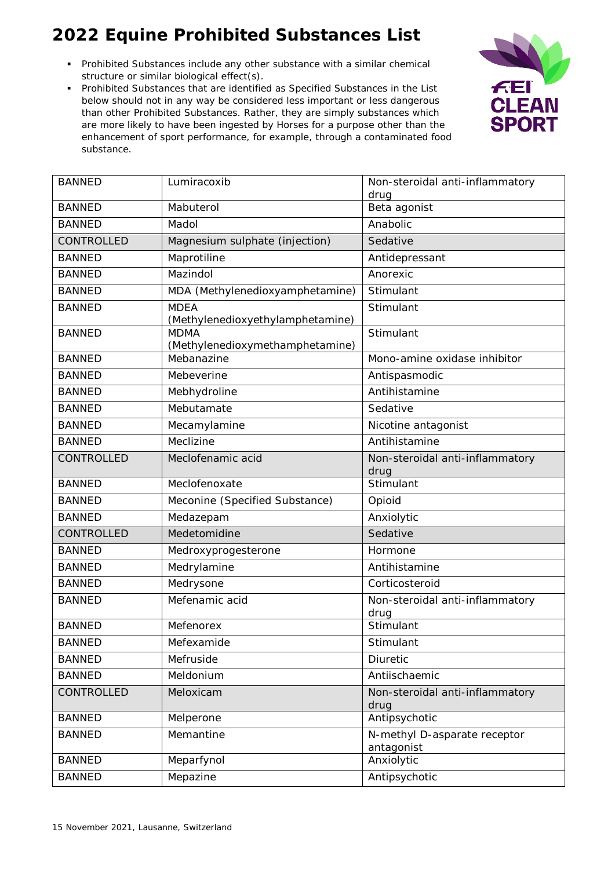- Prohibited Substances include any other substance with a similar chemical structure or similar biological effect(s).
- Prohibited Substances that are identified as Specified Substances in the List below should not in any way be considered less important or less dangerous than other Prohibited Substances. Rather, they are simply substances which are more likely to have been ingested by Horses for a purpose other than the enhancement of sport performance, for example, through a contaminated food substance.



| <b>BANNED</b>     | Lumiracoxib                                     | Non-steroidal anti-inflammatory            |
|-------------------|-------------------------------------------------|--------------------------------------------|
|                   |                                                 | drug                                       |
| <b>BANNED</b>     | Mabuterol                                       | Beta agonist                               |
| <b>BANNED</b>     | Madol                                           | Anabolic                                   |
| <b>CONTROLLED</b> | Magnesium sulphate (injection)                  | Sedative                                   |
| <b>BANNED</b>     | Maprotiline                                     | Antidepressant                             |
| <b>BANNED</b>     | Mazindol                                        | Anorexic                                   |
| <b>BANNED</b>     | MDA (Methylenedioxyamphetamine)                 | Stimulant                                  |
| <b>BANNED</b>     | <b>MDEA</b><br>(Methylenedioxyethylamphetamine) | Stimulant                                  |
| <b>BANNED</b>     | <b>MDMA</b><br>(Methylenedioxymethamphetamine)  | Stimulant                                  |
| <b>BANNED</b>     | Mebanazine                                      | Mono-amine oxidase inhibitor               |
| <b>BANNED</b>     | Mebeverine                                      | Antispasmodic                              |
| <b>BANNED</b>     | Mebhydroline                                    | Antihistamine                              |
| <b>BANNED</b>     | Mebutamate                                      | Sedative                                   |
| <b>BANNED</b>     | Mecamylamine                                    | Nicotine antagonist                        |
| <b>BANNED</b>     | Meclizine                                       | Antihistamine                              |
| CONTROLLED        | Meclofenamic acid                               | Non-steroidal anti-inflammatory<br>drug    |
| <b>BANNED</b>     | Meclofenoxate                                   | Stimulant                                  |
| <b>BANNED</b>     | Meconine (Specified Substance)                  | Opioid                                     |
| <b>BANNED</b>     | Medazepam                                       | Anxiolytic                                 |
| CONTROLLED        | Medetomidine                                    | Sedative                                   |
| <b>BANNED</b>     | Medroxyprogesterone                             | Hormone                                    |
| <b>BANNED</b>     | Medrylamine                                     | Antihistamine                              |
| <b>BANNED</b>     | Medrysone                                       | Corticosteroid                             |
| <b>BANNED</b>     | Mefenamic acid                                  | Non-steroidal anti-inflammatory            |
| <b>BANNED</b>     |                                                 | drug<br>Stimulant                          |
|                   | Mefenorex                                       |                                            |
| <b>BANNED</b>     | Mefexamide                                      | Stimulant                                  |
| <b>BANNED</b>     | Mefruside                                       | Diuretic                                   |
| <b>BANNED</b>     | Meldonium                                       | Antiischaemic                              |
| CONTROLLED        | Meloxicam                                       | Non-steroidal anti-inflammatory<br>drug    |
| <b>BANNED</b>     | Melperone                                       | Antipsychotic                              |
| <b>BANNED</b>     | Memantine                                       | N-methyl D-asparate receptor<br>antagonist |
| <b>BANNED</b>     | Meparfynol                                      | Anxiolytic                                 |
| <b>BANNED</b>     | Mepazine                                        | Antipsychotic                              |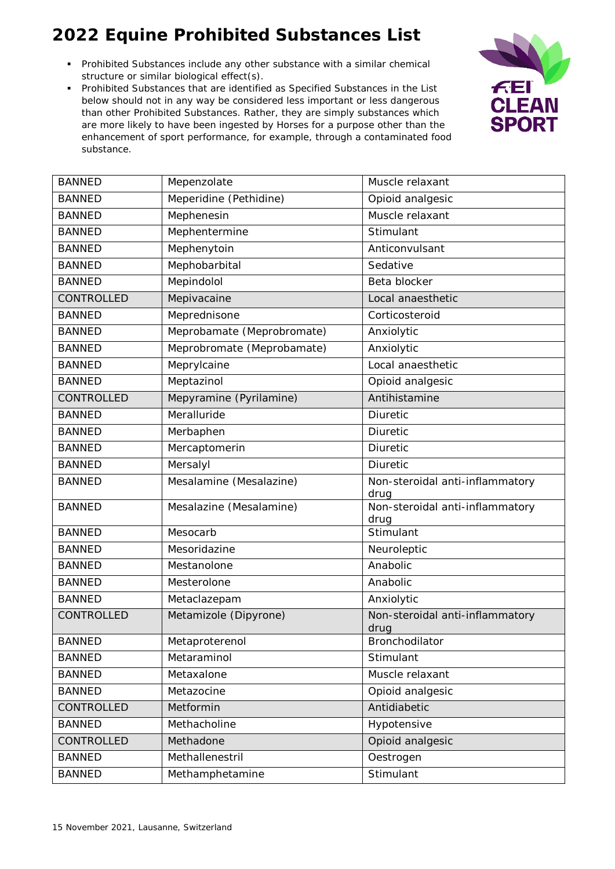- Prohibited Substances include any other substance with a similar chemical structure or similar biological effect(s).
- Prohibited Substances that are identified as Specified Substances in the List below should not in any way be considered less important or less dangerous than other Prohibited Substances. Rather, they are simply substances which are more likely to have been ingested by Horses for a purpose other than the enhancement of sport performance, for example, through a contaminated food substance.



| <b>BANNED</b>     | Mepenzolate                            | Muscle relaxant                         |
|-------------------|----------------------------------------|-----------------------------------------|
| <b>BANNED</b>     | Meperidine (Pethidine)                 | Opioid analgesic                        |
| <b>BANNED</b>     | Mephenesin                             | Muscle relaxant                         |
| <b>BANNED</b>     | Mephentermine                          | Stimulant                               |
| <b>BANNED</b>     | Mephenytoin                            | Anticonvulsant                          |
| <b>BANNED</b>     | Mephobarbital                          | Sedative                                |
| <b>BANNED</b>     | Mepindolol                             | Beta blocker                            |
| <b>CONTROLLED</b> | Mepivacaine                            | Local anaesthetic                       |
| <b>BANNED</b>     | Meprednisone                           | Corticosteroid                          |
| <b>BANNED</b>     | Meprobamate (Meprobromate)             | Anxiolytic                              |
| <b>BANNED</b>     | Meprobromate (Meprobamate)             | Anxiolytic                              |
| <b>BANNED</b>     | Meprylcaine                            | Local anaesthetic                       |
| <b>BANNED</b>     | Meptazinol                             |                                         |
| <b>CONTROLLED</b> |                                        | Opioid analgesic<br>Antihistamine       |
|                   | Mepyramine (Pyrilamine)<br>Meralluride |                                         |
| <b>BANNED</b>     |                                        | Diuretic                                |
| <b>BANNED</b>     | Merbaphen                              | Diuretic                                |
| <b>BANNED</b>     | Mercaptomerin                          | <b>Diuretic</b>                         |
| <b>BANNED</b>     | Mersalyl                               | Diuretic                                |
| <b>BANNED</b>     | Mesalamine (Mesalazine)                | Non-steroidal anti-inflammatory<br>drug |
| <b>BANNED</b>     | Mesalazine (Mesalamine)                | Non-steroidal anti-inflammatory<br>drug |
| <b>BANNED</b>     | Mesocarb                               | Stimulant                               |
| <b>BANNED</b>     | Mesoridazine                           | Neuroleptic                             |
| <b>BANNED</b>     | Mestanolone                            | Anabolic                                |
| <b>BANNED</b>     | Mesterolone                            | Anabolic                                |
| <b>BANNED</b>     | Metaclazepam                           | Anxiolytic                              |
| CONTROLLED        | Metamizole (Dipyrone)                  | Non-steroidal anti-inflammatory<br>drug |
| <b>BANNED</b>     | Metaproterenol                         | Bronchodilator                          |
| <b>BANNED</b>     | Metaraminol                            | Stimulant                               |
| <b>BANNED</b>     | Metaxalone                             | Muscle relaxant                         |
| <b>BANNED</b>     | Metazocine                             | Opioid analgesic                        |
| CONTROLLED        | Metformin                              | Antidiabetic                            |
| <b>BANNED</b>     | Methacholine                           | Hypotensive                             |
| CONTROLLED        | Methadone                              | Opioid analgesic                        |
| <b>BANNED</b>     | Methallenestril                        | Oestrogen                               |
| <b>BANNED</b>     | Methamphetamine                        | Stimulant                               |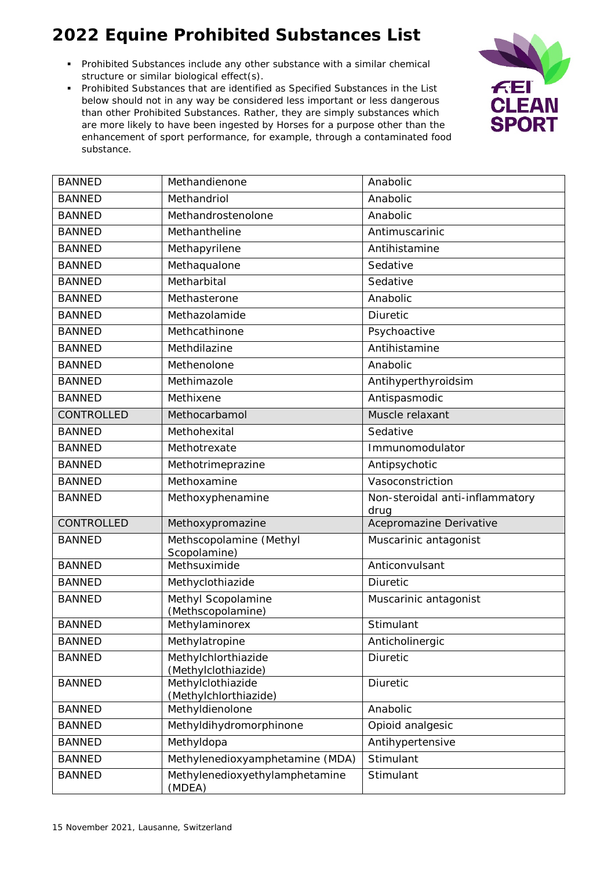- Prohibited Substances include any other substance with a similar chemical structure or similar biological effect(s).
- Prohibited Substances that are identified as Specified Substances in the List below should not in any way be considered less important or less dangerous than other Prohibited Substances. Rather, they are simply substances which are more likely to have been ingested by Horses for a purpose other than the enhancement of sport performance, for example, through a contaminated food substance.



| <b>BANNED</b> | Methandienone                              | Anabolic                                |
|---------------|--------------------------------------------|-----------------------------------------|
| <b>BANNED</b> | Methandriol                                | Anabolic                                |
| <b>BANNED</b> | Methandrostenolone                         | Anabolic                                |
| <b>BANNED</b> | Methantheline                              | Antimuscarinic                          |
| <b>BANNED</b> | Methapyrilene                              | Antihistamine                           |
| <b>BANNED</b> | Methaqualone                               | Sedative                                |
| <b>BANNED</b> | Metharbital                                | Sedative                                |
| <b>BANNED</b> | Methasterone                               | Anabolic                                |
| <b>BANNED</b> | Methazolamide                              | Diuretic                                |
| <b>BANNED</b> | Methcathinone                              | Psychoactive                            |
| <b>BANNED</b> | Methdilazine                               | Antihistamine                           |
| <b>BANNED</b> | Methenolone                                | Anabolic                                |
| <b>BANNED</b> | Methimazole                                | Antihyperthyroidsim                     |
| <b>BANNED</b> | Methixene                                  | Antispasmodic                           |
| CONTROLLED    | Methocarbamol                              | Muscle relaxant                         |
| <b>BANNED</b> | Methohexital                               | Sedative                                |
| <b>BANNED</b> | Methotrexate                               | Immunomodulator                         |
| <b>BANNED</b> | Methotrimeprazine                          | Antipsychotic                           |
| <b>BANNED</b> | Methoxamine                                | Vasoconstriction                        |
| <b>BANNED</b> | Methoxyphenamine                           | Non-steroidal anti-inflammatory<br>drug |
| CONTROLLED    | Methoxypromazine                           | Acepromazine Derivative                 |
| <b>BANNED</b> | Methscopolamine (Methyl<br>Scopolamine)    | Muscarinic antagonist                   |
| <b>BANNED</b> | Methsuximide                               | Anticonvulsant                          |
| <b>BANNED</b> | Methyclothiazide                           | Diuretic                                |
| <b>BANNED</b> | Methyl Scopolamine<br>(Methscopolamine)    | Muscarinic antagonist                   |
| <b>BANNED</b> | Methylaminorex                             | Stimulant                               |
| <b>BANNED</b> | Methylatropine                             | Anticholinergic                         |
| <b>BANNED</b> | Methylchlorthiazide<br>(Methylclothiazide) | <b>Diuretic</b>                         |
| <b>BANNED</b> | Methylclothiazide<br>(Methylchlorthiazide) | Diuretic                                |
| <b>BANNED</b> | Methyldienolone                            | Anabolic                                |
| <b>BANNED</b> | Methyldihydromorphinone                    | Opioid analgesic                        |
| <b>BANNED</b> | Methyldopa                                 | Antihypertensive                        |
| <b>BANNED</b> | Methylenedioxyamphetamine (MDA)            | Stimulant                               |
| <b>BANNED</b> | Methylenedioxyethylamphetamine<br>(MDEA)   | Stimulant                               |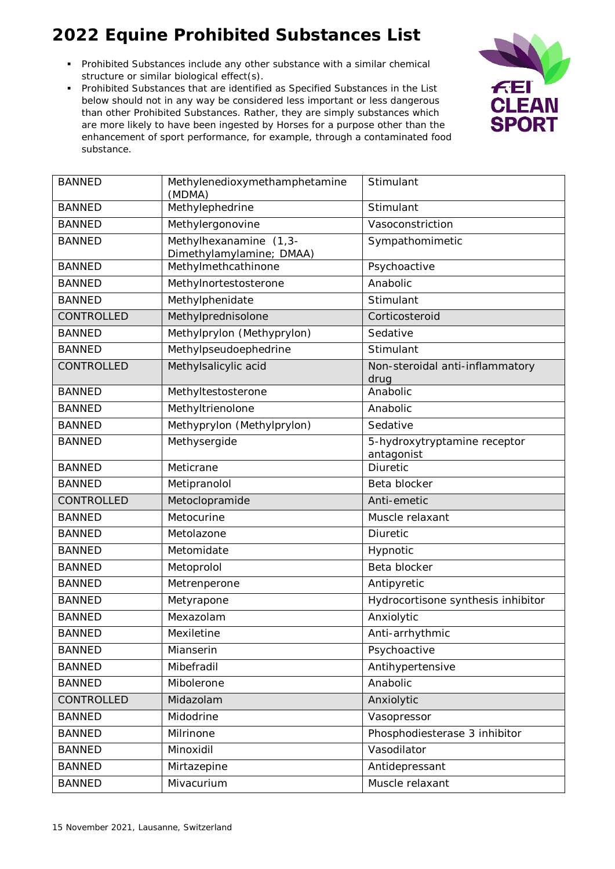- Prohibited Substances include any other substance with a similar chemical structure or similar biological effect(s).
- Prohibited Substances that are identified as Specified Substances in the List below should not in any way be considered less important or less dangerous than other Prohibited Substances. Rather, they are simply substances which are more likely to have been ingested by Horses for a purpose other than the enhancement of sport performance, for example, through a contaminated food substance.



| <b>BANNED</b> | Methylenedioxymethamphetamine<br>(MDMA)            | Stimulant                                  |
|---------------|----------------------------------------------------|--------------------------------------------|
| <b>BANNED</b> | Methylephedrine                                    | Stimulant                                  |
| <b>BANNED</b> | Methylergonovine                                   | Vasoconstriction                           |
| <b>BANNED</b> | Methylhexanamine (1,3-<br>Dimethylamylamine; DMAA) | Sympathomimetic                            |
| <b>BANNED</b> | Methylmethcathinone                                | Psychoactive                               |
| <b>BANNED</b> | Methylnortestosterone                              | Anabolic                                   |
| <b>BANNED</b> | Methylphenidate                                    | Stimulant                                  |
| CONTROLLED    | Methylprednisolone                                 | Corticosteroid                             |
| <b>BANNED</b> | Methylprylon (Methyprylon)                         | Sedative                                   |
| <b>BANNED</b> | Methylpseudoephedrine                              | Stimulant                                  |
| CONTROLLED    | Methylsalicylic acid                               | Non-steroidal anti-inflammatory<br>drug    |
| <b>BANNED</b> | Methyltestosterone                                 | Anabolic                                   |
| <b>BANNED</b> | Methyltrienolone                                   | Anabolic                                   |
| <b>BANNED</b> | Methyprylon (Methylprylon)                         | Sedative                                   |
| <b>BANNED</b> | Methysergide                                       | 5-hydroxytryptamine receptor<br>antagonist |
| <b>BANNED</b> | Meticrane                                          | Diuretic                                   |
| <b>BANNED</b> | Metipranolol                                       | Beta blocker                               |
| CONTROLLED    | Metoclopramide                                     | Anti-emetic                                |
| <b>BANNED</b> | Metocurine                                         | Muscle relaxant                            |
| <b>BANNED</b> | Metolazone                                         | Diuretic                                   |
| <b>BANNED</b> | Metomidate                                         | Hypnotic                                   |
| <b>BANNED</b> | Metoprolol                                         | Beta blocker                               |
| <b>BANNED</b> | Metrenperone                                       | Antipyretic                                |
| <b>BANNED</b> | Metyrapone                                         | Hydrocortisone synthesis inhibitor         |
| <b>BANNED</b> | Mexazolam                                          | Anxiolytic                                 |
| <b>BANNED</b> | Mexiletine                                         | Anti-arrhythmic                            |
| <b>BANNED</b> | Mianserin                                          | Psychoactive                               |
| <b>BANNED</b> | Mibefradil                                         | Antihypertensive                           |
| <b>BANNED</b> | Mibolerone                                         | Anabolic                                   |
| CONTROLLED    | Midazolam                                          | Anxiolytic                                 |
| <b>BANNED</b> | Midodrine                                          | Vasopressor                                |
| <b>BANNED</b> | Milrinone                                          | Phosphodiesterase 3 inhibitor              |
| <b>BANNED</b> | Minoxidil                                          | Vasodilator                                |
| <b>BANNED</b> | Mirtazepine                                        | Antidepressant                             |
| <b>BANNED</b> | Mivacurium                                         | Muscle relaxant                            |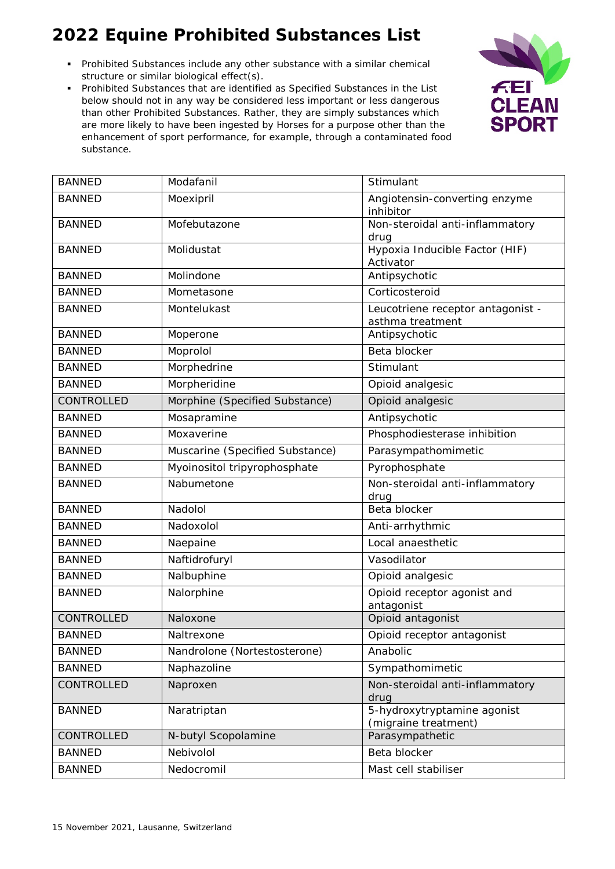- Prohibited Substances include any other substance with a similar chemical structure or similar biological effect(s).
- Prohibited Substances that are identified as Specified Substances in the List below should not in any way be considered less important or less dangerous than other Prohibited Substances. Rather, they are simply substances which are more likely to have been ingested by Horses for a purpose other than the enhancement of sport performance, for example, through a contaminated food substance.



| <b>BANNED</b> | Modafanil                       | Stimulant                                             |
|---------------|---------------------------------|-------------------------------------------------------|
| <b>BANNED</b> | Moexipril                       | Angiotensin-converting enzyme<br>inhibitor            |
| <b>BANNED</b> | Mofebutazone                    | Non-steroidal anti-inflammatory<br>drug               |
| <b>BANNED</b> | Molidustat                      | Hypoxia Inducible Factor (HIF)<br>Activator           |
| <b>BANNED</b> | Molindone                       | Antipsychotic                                         |
| <b>BANNED</b> | Mometasone                      | Corticosteroid                                        |
| <b>BANNED</b> | Montelukast                     | Leucotriene receptor antagonist -<br>asthma treatment |
| <b>BANNED</b> | Moperone                        | Antipsychotic                                         |
| <b>BANNED</b> | Moprolol                        | Beta blocker                                          |
| <b>BANNED</b> | Morphedrine                     | Stimulant                                             |
| <b>BANNED</b> | Morpheridine                    | Opioid analgesic                                      |
| CONTROLLED    | Morphine (Specified Substance)  | Opioid analgesic                                      |
| <b>BANNED</b> | Mosapramine                     | Antipsychotic                                         |
| <b>BANNED</b> | Moxaverine                      | Phosphodiesterase inhibition                          |
| <b>BANNED</b> | Muscarine (Specified Substance) | Parasympathomimetic                                   |
| <b>BANNED</b> | Myoinositol tripyrophosphate    | Pyrophosphate                                         |
| <b>BANNED</b> | Nabumetone                      | Non-steroidal anti-inflammatory<br>drug               |
| <b>BANNED</b> | Nadolol                         | Beta blocker                                          |
| <b>BANNED</b> | Nadoxolol                       | Anti-arrhythmic                                       |
| <b>BANNED</b> | Naepaine                        | Local anaesthetic                                     |
| <b>BANNED</b> | Naftidrofuryl                   | Vasodilator                                           |
| <b>BANNED</b> | Nalbuphine                      | Opioid analgesic                                      |
| <b>BANNED</b> | Nalorphine                      | Opioid receptor agonist and<br>antagonist             |
| CONTROLLED    | Naloxone                        | Opioid antagonist                                     |
| BANNED        | Naltrexone                      | Opioid receptor antagonist                            |
| <b>BANNED</b> | Nandrolone (Nortestosterone)    | Anabolic                                              |
| <b>BANNED</b> | Naphazoline                     | Sympathomimetic                                       |
| CONTROLLED    | Naproxen                        | Non-steroidal anti-inflammatory<br>drug               |
| <b>BANNED</b> | Naratriptan                     | 5-hydroxytryptamine agonist<br>(migraine treatment)   |
| CONTROLLED    | N-butyl Scopolamine             | Parasympathetic                                       |
| <b>BANNED</b> | Nebivolol                       | Beta blocker                                          |
| <b>BANNED</b> | Nedocromil                      | Mast cell stabiliser                                  |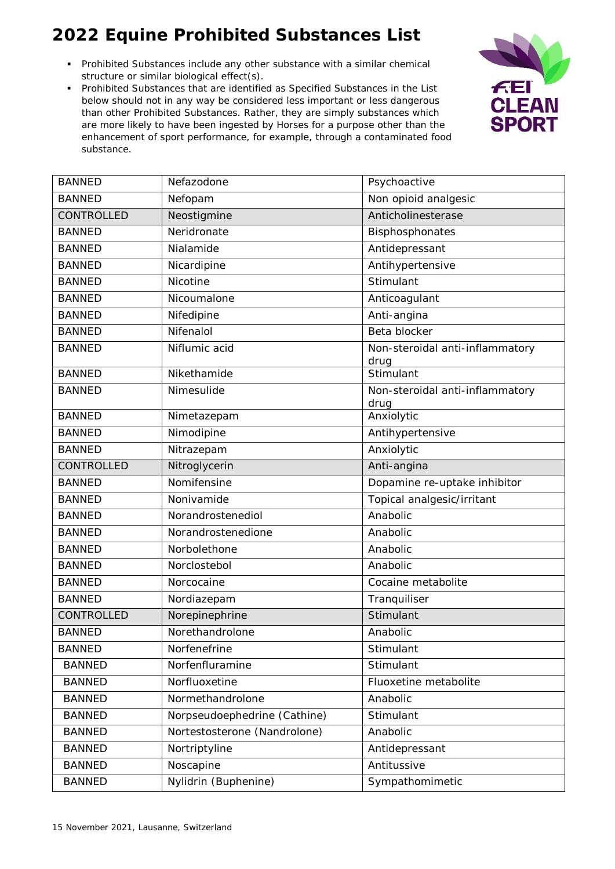- Prohibited Substances include any other substance with a similar chemical structure or similar biological effect(s).
- Prohibited Substances that are identified as Specified Substances in the List below should not in any way be considered less important or less dangerous than other Prohibited Substances. Rather, they are simply substances which are more likely to have been ingested by Horses for a purpose other than the enhancement of sport performance, for example, through a contaminated food substance.



| <b>BANNED</b> | Nefazodone                   | Psychoactive                            |
|---------------|------------------------------|-----------------------------------------|
| <b>BANNED</b> | Nefopam                      | Non opioid analgesic                    |
| CONTROLLED    | Neostigmine                  | Anticholinesterase                      |
| <b>BANNED</b> | Neridronate                  | Bisphosphonates                         |
| <b>BANNED</b> | Nialamide                    | Antidepressant                          |
| <b>BANNED</b> | Nicardipine                  | Antihypertensive                        |
| <b>BANNED</b> | Nicotine                     | Stimulant                               |
| <b>BANNED</b> | Nicoumalone                  | Anticoagulant                           |
| <b>BANNED</b> | Nifedipine                   | Anti-angina                             |
| <b>BANNED</b> | Nifenalol                    | Beta blocker                            |
| <b>BANNED</b> | Niflumic acid                | Non-steroidal anti-inflammatory<br>drug |
| <b>BANNED</b> | Nikethamide                  | Stimulant                               |
| <b>BANNED</b> | Nimesulide                   | Non-steroidal anti-inflammatory<br>drug |
| <b>BANNED</b> | Nimetazepam                  | Anxiolytic                              |
| <b>BANNED</b> | Nimodipine                   | Antihypertensive                        |
| <b>BANNED</b> | Nitrazepam                   | Anxiolytic                              |
| CONTROLLED    | Nitroglycerin                | Anti-angina                             |
| <b>BANNED</b> | Nomifensine                  | Dopamine re-uptake inhibitor            |
| <b>BANNED</b> | Nonivamide                   | Topical analgesic/irritant              |
| <b>BANNED</b> | Norandrostenediol            | Anabolic                                |
| <b>BANNED</b> | Norandrostenedione           | Anabolic                                |
| <b>BANNED</b> | Norbolethone                 | Anabolic                                |
| <b>BANNED</b> | Norclostebol                 | Anabolic                                |
| <b>BANNED</b> | Norcocaine                   | Cocaine metabolite                      |
| <b>BANNED</b> | Nordiazepam                  | Tranquiliser                            |
| CONTROLLED    | Norepinephrine               | Stimulant                               |
| <b>BANNED</b> | Norethandrolone              | Anabolic                                |
| <b>BANNED</b> | Norfenefrine                 | Stimulant                               |
| <b>BANNED</b> | Norfenfluramine              | Stimulant                               |
| <b>BANNED</b> | Norfluoxetine                | Fluoxetine metabolite                   |
| <b>BANNED</b> | Normethandrolone             | Anabolic                                |
| <b>BANNED</b> | Norpseudoephedrine (Cathine) | Stimulant                               |
| <b>BANNED</b> | Nortestosterone (Nandrolone) | Anabolic                                |
| <b>BANNED</b> | Nortriptyline                | Antidepressant                          |
| <b>BANNED</b> | Noscapine                    | Antitussive                             |
| <b>BANNED</b> | Nylidrin (Buphenine)         | Sympathomimetic                         |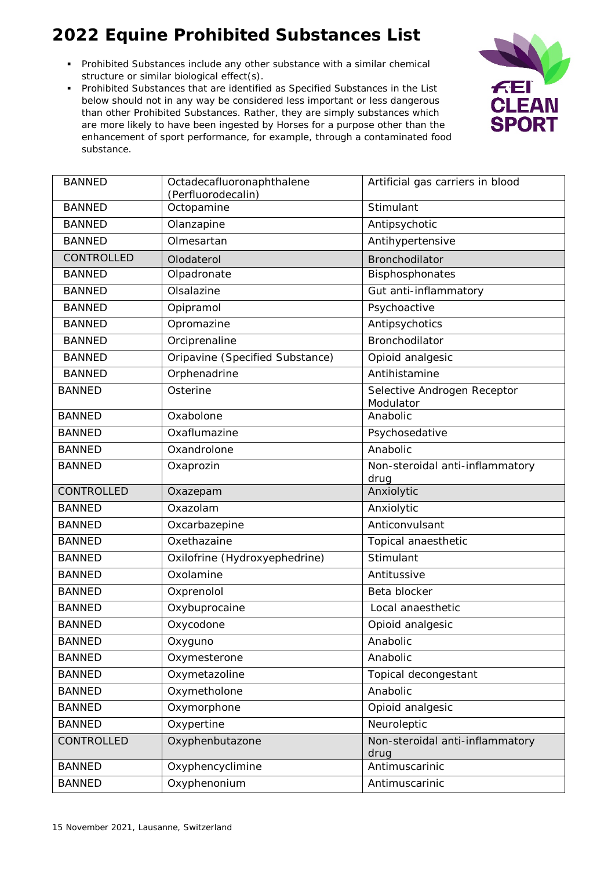- Prohibited Substances include any other substance with a similar chemical structure or similar biological effect(s).
- Prohibited Substances that are identified as Specified Substances in the List below should not in any way be considered less important or less dangerous than other Prohibited Substances. Rather, they are simply substances which are more likely to have been ingested by Horses for a purpose other than the enhancement of sport performance, for example, through a contaminated food substance.



| <b>BANNED</b> | Octadecafluoronaphthalene<br>(Perfluorodecalin) | Artificial gas carriers in blood         |
|---------------|-------------------------------------------------|------------------------------------------|
| <b>BANNED</b> | Octopamine                                      | Stimulant                                |
| <b>BANNED</b> | Olanzapine                                      | Antipsychotic                            |
| <b>BANNED</b> | Olmesartan                                      | Antihypertensive                         |
| CONTROLLED    | Olodaterol                                      | Bronchodilator                           |
| <b>BANNED</b> | Olpadronate                                     | Bisphosphonates                          |
| <b>BANNED</b> | Olsalazine                                      | Gut anti-inflammatory                    |
| <b>BANNED</b> | Opipramol                                       | Psychoactive                             |
| <b>BANNED</b> | Opromazine                                      | Antipsychotics                           |
| <b>BANNED</b> | Orciprenaline                                   | Bronchodilator                           |
| <b>BANNED</b> | Oripavine (Specified Substance)                 | Opioid analgesic                         |
| <b>BANNED</b> | Orphenadrine                                    | Antihistamine                            |
| <b>BANNED</b> | Osterine                                        | Selective Androgen Receptor<br>Modulator |
| <b>BANNED</b> | Oxabolone                                       | Anabolic                                 |
| <b>BANNED</b> | Oxaflumazine                                    | Psychosedative                           |
| <b>BANNED</b> | Oxandrolone                                     | Anabolic                                 |
| <b>BANNED</b> | Oxaprozin                                       | Non-steroidal anti-inflammatory<br>drug  |
|               |                                                 |                                          |
| CONTROLLED    | Oxazepam                                        | Anxiolytic                               |
| <b>BANNED</b> | Oxazolam                                        | Anxiolytic                               |
| <b>BANNED</b> | Oxcarbazepine                                   | Anticonvulsant                           |
| <b>BANNED</b> | Oxethazaine                                     | Topical anaesthetic                      |
| <b>BANNED</b> | Oxilofrine (Hydroxyephedrine)                   | Stimulant                                |
| <b>BANNED</b> | Oxolamine                                       | Antitussive                              |
| <b>BANNED</b> | Oxprenolol                                      | Beta blocker                             |
| <b>BANNED</b> | Oxybuprocaine                                   | Local anaesthetic                        |
| <b>BANNED</b> | Oxycodone                                       | Opioid analgesic                         |
| <b>BANNED</b> | Oxyguno                                         | Anabolic                                 |
| <b>BANNED</b> | Oxymesterone                                    | Anabolic                                 |
| <b>BANNED</b> | Oxymetazoline                                   | Topical decongestant                     |
| <b>BANNED</b> | Oxymetholone                                    | Anabolic                                 |
| <b>BANNED</b> | Oxymorphone                                     | Opioid analgesic                         |
| <b>BANNED</b> | Oxypertine                                      | Neuroleptic                              |
| CONTROLLED    | Oxyphenbutazone                                 | Non-steroidal anti-inflammatory<br>drug  |
| <b>BANNED</b> | Oxyphencyclimine                                | Antimuscarinic                           |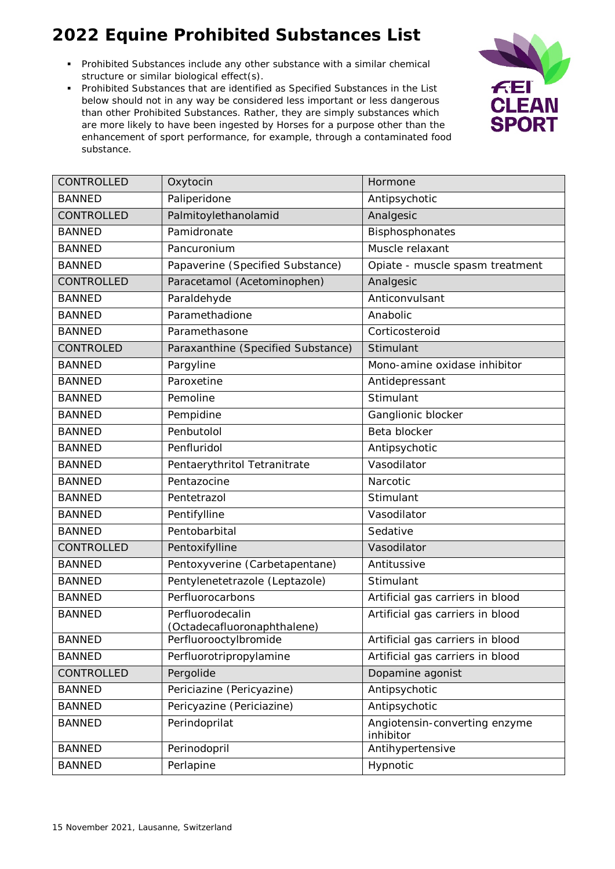- Prohibited Substances include any other substance with a similar chemical structure or similar biological effect(s).
- Prohibited Substances that are identified as Specified Substances in the List below should not in any way be considered less important or less dangerous than other Prohibited Substances. Rather, they are simply substances which are more likely to have been ingested by Horses for a purpose other than the enhancement of sport performance, for example, through a contaminated food substance.



| CONTROLLED    | Oxytocin                                        | Hormone                                    |
|---------------|-------------------------------------------------|--------------------------------------------|
| <b>BANNED</b> | Paliperidone                                    | Antipsychotic                              |
| CONTROLLED    | Palmitoylethanolamid                            | Analgesic                                  |
| <b>BANNED</b> | Pamidronate                                     | Bisphosphonates                            |
| <b>BANNED</b> | Pancuronium                                     | Muscle relaxant                            |
| <b>BANNED</b> | Papaverine (Specified Substance)                | Opiate - muscle spasm treatment            |
| CONTROLLED    | Paracetamol (Acetominophen)                     | Analgesic                                  |
| <b>BANNED</b> | Paraldehyde                                     | Anticonvulsant                             |
| <b>BANNED</b> | Paramethadione                                  | Anabolic                                   |
| <b>BANNED</b> | Paramethasone                                   | Corticosteroid                             |
| CONTROLED     | Paraxanthine (Specified Substance)              | Stimulant                                  |
| <b>BANNED</b> | Pargyline                                       | Mono-amine oxidase inhibitor               |
| <b>BANNED</b> | Paroxetine                                      | Antidepressant                             |
| <b>BANNED</b> | Pemoline                                        | Stimulant                                  |
| <b>BANNED</b> | Pempidine                                       | Ganglionic blocker                         |
| <b>BANNED</b> | Penbutolol                                      | Beta blocker                               |
| <b>BANNED</b> | Penfluridol                                     | Antipsychotic                              |
| <b>BANNED</b> | Pentaerythritol Tetranitrate                    | Vasodilator                                |
| <b>BANNED</b> | Pentazocine                                     | Narcotic                                   |
| <b>BANNED</b> | Pentetrazol                                     | Stimulant                                  |
| <b>BANNED</b> | Pentifylline                                    | Vasodilator                                |
| <b>BANNED</b> | Pentobarbital                                   | Sedative                                   |
| CONTROLLED    | Pentoxifylline                                  | Vasodilator                                |
| <b>BANNED</b> | Pentoxyverine (Carbetapentane)                  | Antitussive                                |
| <b>BANNED</b> | Pentylenetetrazole (Leptazole)                  | Stimulant                                  |
| <b>BANNED</b> | Perfluorocarbons                                | Artificial gas carriers in blood           |
| <b>BANNED</b> | Perfluorodecalin<br>(Octadecafluoronaphthalene) | Artificial gas carriers in blood           |
| <b>BANNED</b> | Perfluorooctylbromide                           | Artificial gas carriers in blood           |
| <b>BANNED</b> | Perfluorotripropylamine                         | Artificial gas carriers in blood           |
| CONTROLLED    | Pergolide                                       | Dopamine agonist                           |
| <b>BANNED</b> | Periciazine (Pericyazine)                       | Antipsychotic                              |
| <b>BANNED</b> | Pericyazine (Periciazine)                       | Antipsychotic                              |
| <b>BANNED</b> | Perindoprilat                                   | Angiotensin-converting enzyme<br>inhibitor |
| <b>BANNED</b> | Perinodopril                                    | Antihypertensive                           |
| <b>BANNED</b> | Perlapine                                       | Hypnotic                                   |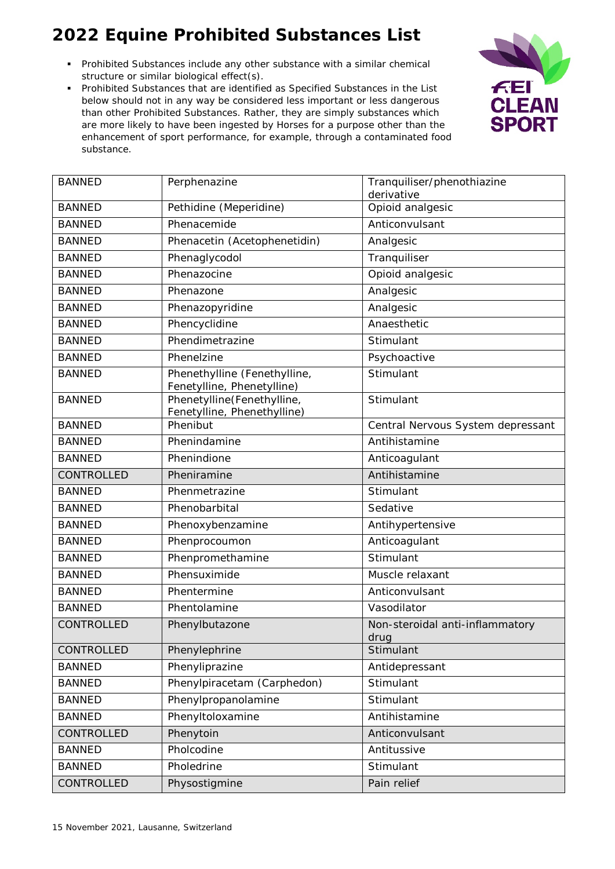- Prohibited Substances include any other substance with a similar chemical structure or similar biological effect(s).
- Prohibited Substances that are identified as Specified Substances in the List below should not in any way be considered less important or less dangerous than other Prohibited Substances. Rather, they are simply substances which are more likely to have been ingested by Horses for a purpose other than the enhancement of sport performance, for example, through a contaminated food substance.



| <b>BANNED</b> | Perphenazine                                               | Tranquiliser/phenothiazine<br>derivative |
|---------------|------------------------------------------------------------|------------------------------------------|
| <b>BANNED</b> | Pethidine (Meperidine)                                     | Opioid analgesic                         |
| <b>BANNED</b> | Phenacemide                                                | Anticonvulsant                           |
| <b>BANNED</b> | Phenacetin (Acetophenetidin)                               | Analgesic                                |
| <b>BANNED</b> | Phenaglycodol                                              | Tranquiliser                             |
| <b>BANNED</b> | Phenazocine                                                | Opioid analgesic                         |
| <b>BANNED</b> | Phenazone                                                  | Analgesic                                |
| <b>BANNED</b> | Phenazopyridine                                            | Analgesic                                |
| <b>BANNED</b> | Phencyclidine                                              | Anaesthetic                              |
| <b>BANNED</b> | Phendimetrazine                                            | Stimulant                                |
| <b>BANNED</b> | Phenelzine                                                 | Psychoactive                             |
| <b>BANNED</b> | Phenethylline (Fenethylline,<br>Fenetylline, Phenetylline) | Stimulant                                |
| <b>BANNED</b> | Phenetylline(Fenethylline,<br>Fenetylline, Phenethylline)  | Stimulant                                |
| <b>BANNED</b> | Phenibut                                                   | Central Nervous System depressant        |
| <b>BANNED</b> | Phenindamine                                               | Antihistamine                            |
| <b>BANNED</b> | Phenindione                                                | Anticoagulant                            |
| CONTROLLED    | Pheniramine                                                | Antihistamine                            |
| <b>BANNED</b> | Phenmetrazine                                              | Stimulant                                |
| <b>BANNED</b> | Phenobarbital                                              | Sedative                                 |
| <b>BANNED</b> | Phenoxybenzamine                                           | Antihypertensive                         |
| <b>BANNED</b> | Phenprocoumon                                              | Anticoagulant                            |
| <b>BANNED</b> | Phenpromethamine                                           | Stimulant                                |
| <b>BANNED</b> | Phensuximide                                               | Muscle relaxant                          |
| <b>BANNED</b> | Phentermine                                                | Anticonvulsant                           |
| <b>BANNED</b> | Phentolamine                                               | Vasodilator                              |
| CONTROLLED    | Phenylbutazone                                             | Non-steroidal anti-inflammatory<br>drug  |
| CONTROLLED    | Phenylephrine                                              | Stimulant                                |
| <b>BANNED</b> | Phenyliprazine                                             | Antidepressant                           |
| <b>BANNED</b> | Phenylpiracetam (Carphedon)                                | Stimulant                                |
| <b>BANNED</b> | Phenylpropanolamine                                        | Stimulant                                |
| <b>BANNED</b> | Phenyltoloxamine                                           | Antihistamine                            |
| CONTROLLED    | Phenytoin                                                  | Anticonvulsant                           |
| <b>BANNED</b> | Pholcodine                                                 | Antitussive                              |
| <b>BANNED</b> | Pholedrine                                                 | Stimulant                                |
| CONTROLLED    | Physostigmine                                              | Pain relief                              |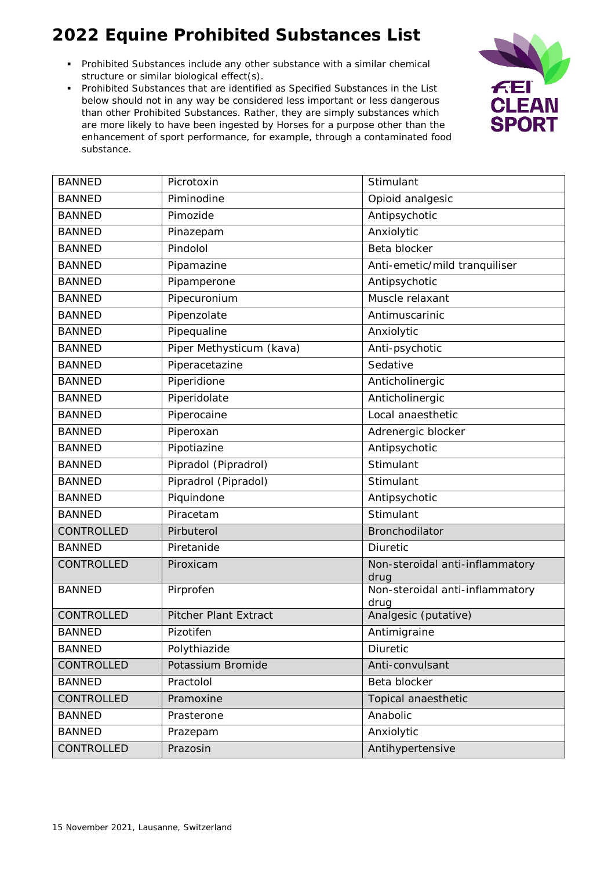- Prohibited Substances include any other substance with a similar chemical structure or similar biological effect(s).
- Prohibited Substances that are identified as Specified Substances in the List below should not in any way be considered less important or less dangerous than other Prohibited Substances. Rather, they are simply substances which are more likely to have been ingested by Horses for a purpose other than the enhancement of sport performance, for example, through a contaminated food substance.



| <b>BANNED</b> | Picrotoxin                   | Stimulant                               |
|---------------|------------------------------|-----------------------------------------|
| <b>BANNED</b> | Piminodine                   | Opioid analgesic                        |
| <b>BANNED</b> | Pimozide                     | Antipsychotic                           |
| <b>BANNED</b> | Pinazepam                    | Anxiolytic                              |
| <b>BANNED</b> | Pindolol                     | Beta blocker                            |
| <b>BANNED</b> | Pipamazine                   | Anti-emetic/mild tranquiliser           |
| <b>BANNED</b> | Pipamperone                  | Antipsychotic                           |
| <b>BANNED</b> | Pipecuronium                 | Muscle relaxant                         |
| <b>BANNED</b> | Pipenzolate                  | Antimuscarinic                          |
| <b>BANNED</b> | Pipequaline                  | Anxiolytic                              |
| <b>BANNED</b> | Piper Methysticum (kava)     | Anti-psychotic                          |
| <b>BANNED</b> | Piperacetazine               | Sedative                                |
| <b>BANNED</b> | Piperidione                  | Anticholinergic                         |
| <b>BANNED</b> | Piperidolate                 | Anticholinergic                         |
| <b>BANNED</b> | Piperocaine                  | Local anaesthetic                       |
| <b>BANNED</b> | Piperoxan                    | Adrenergic blocker                      |
| <b>BANNED</b> | Pipotiazine                  | Antipsychotic                           |
| <b>BANNED</b> | Pipradol (Pipradrol)         | Stimulant                               |
| <b>BANNED</b> | Pipradrol (Pipradol)         | Stimulant                               |
| <b>BANNED</b> | Piquindone                   | Antipsychotic                           |
| <b>BANNED</b> | Piracetam                    | Stimulant                               |
| CONTROLLED    | Pirbuterol                   | Bronchodilator                          |
| <b>BANNED</b> | Piretanide                   | Diuretic                                |
| CONTROLLED    | Piroxicam                    | Non-steroidal anti-inflammatory<br>drug |
| <b>BANNED</b> | Pirprofen                    | Non-steroidal anti-inflammatory<br>drug |
| CONTROLLED    | <b>Pitcher Plant Extract</b> | Analgesic (putative)                    |
| <b>BANNED</b> | Pizotifen                    | Antimigraine                            |
| <b>BANNED</b> | Polythiazide                 | Diuretic                                |
| CONTROLLED    | Potassium Bromide            | Anti-convulsant                         |
| <b>BANNED</b> | Practolol                    | Beta blocker                            |
| CONTROLLED    | Pramoxine                    | Topical anaesthetic                     |
| <b>BANNED</b> | Prasterone                   | Anabolic                                |
| <b>BANNED</b> | Prazepam                     | Anxiolytic                              |
| CONTROLLED    | Prazosin                     | Antihypertensive                        |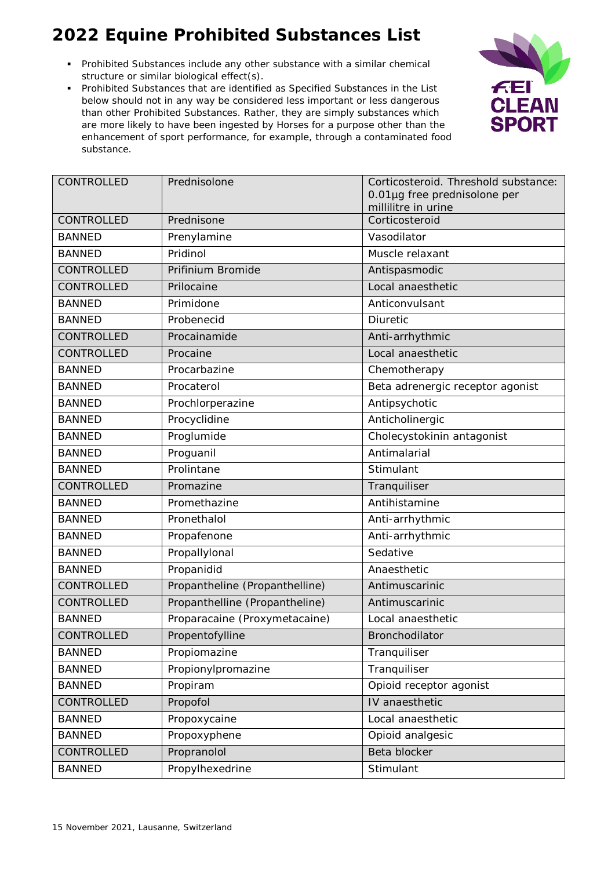- Prohibited Substances include any other substance with a similar chemical structure or similar biological effect(s).
- Prohibited Substances that are identified as Specified Substances in the List below should not in any way be considered less important or less dangerous than other Prohibited Substances. Rather, they are simply substances which are more likely to have been ingested by Horses for a purpose other than the enhancement of sport performance, for example, through a contaminated food substance.



| CONTROLLED    | Prednisolone                   | Corticosteroid. Threshold substance:<br>0.01µg free prednisolone per<br>millilitre in urine |
|---------------|--------------------------------|---------------------------------------------------------------------------------------------|
| CONTROLLED    | Prednisone                     | Corticosteroid                                                                              |
| <b>BANNED</b> | Prenylamine                    | Vasodilator                                                                                 |
| <b>BANNED</b> | Pridinol                       | Muscle relaxant                                                                             |
| CONTROLLED    | Prifinium Bromide              | Antispasmodic                                                                               |
| CONTROLLED    | Prilocaine                     | Local anaesthetic                                                                           |
| <b>BANNED</b> | Primidone                      | Anticonvulsant                                                                              |
| <b>BANNED</b> | Probenecid                     | Diuretic                                                                                    |
| CONTROLLED    | Procainamide                   | Anti-arrhythmic                                                                             |
| CONTROLLED    | Procaine                       | Local anaesthetic                                                                           |
| <b>BANNED</b> | Procarbazine                   | Chemotherapy                                                                                |
| <b>BANNED</b> | Procaterol                     | Beta adrenergic receptor agonist                                                            |
| <b>BANNED</b> | Prochlorperazine               | Antipsychotic                                                                               |
| <b>BANNED</b> | Procyclidine                   | Anticholinergic                                                                             |
| <b>BANNED</b> | Proglumide                     | Cholecystokinin antagonist                                                                  |
| <b>BANNED</b> | Proguanil                      | Antimalarial                                                                                |
| <b>BANNED</b> | Prolintane                     | Stimulant                                                                                   |
| CONTROLLED    | Promazine                      | Tranquiliser                                                                                |
| <b>BANNED</b> | Promethazine                   | Antihistamine                                                                               |
| <b>BANNED</b> | Pronethalol                    | Anti-arrhythmic                                                                             |
| <b>BANNED</b> | Propafenone                    | Anti-arrhythmic                                                                             |
| <b>BANNED</b> | Propallylonal                  | Sedative                                                                                    |
| <b>BANNED</b> | Propanidid                     | Anaesthetic                                                                                 |
| CONTROLLED    | Propantheline (Propanthelline) | Antimuscarinic                                                                              |
| CONTROLLED    | Propanthelline (Propantheline) | Antimuscarinic                                                                              |
| <b>BANNED</b> | Proparacaine (Proxymetacaine)  | Local anaesthetic                                                                           |
| CONTROLLED    | Propentofylline                | Bronchodilator                                                                              |
| <b>BANNED</b> | Propiomazine                   | Tranquiliser                                                                                |
| <b>BANNED</b> | Propionylpromazine             | Tranquiliser                                                                                |
| <b>BANNED</b> | Propiram                       | Opioid receptor agonist                                                                     |
| CONTROLLED    | Propofol                       | IV anaesthetic                                                                              |
| <b>BANNED</b> | Propoxycaine                   | Local anaesthetic                                                                           |
| <b>BANNED</b> | Propoxyphene                   | Opioid analgesic                                                                            |
| CONTROLLED    | Propranolol                    | Beta blocker                                                                                |
| <b>BANNED</b> | Propylhexedrine                | Stimulant                                                                                   |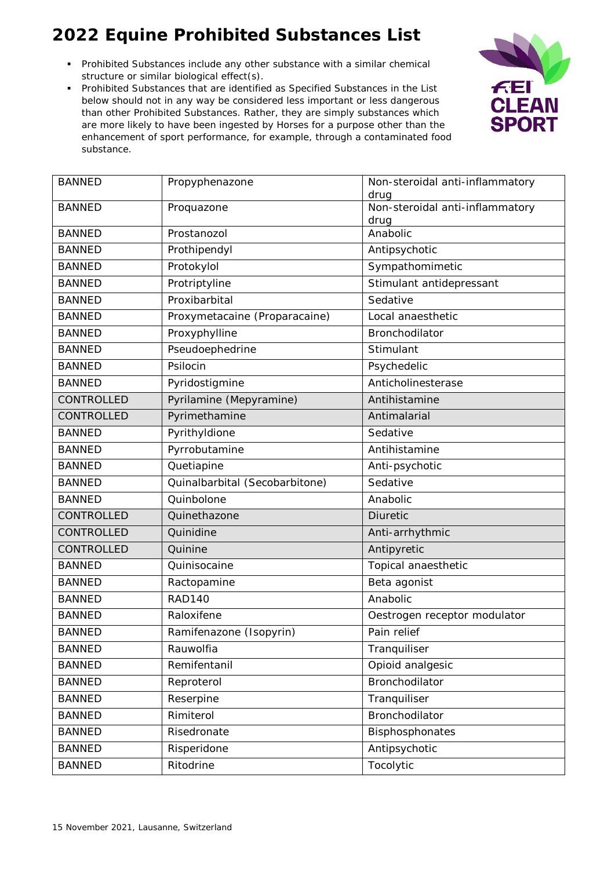- Prohibited Substances include any other substance with a similar chemical structure or similar biological effect(s).
- Prohibited Substances that are identified as Specified Substances in the List below should not in any way be considered less important or less dangerous than other Prohibited Substances. Rather, they are simply substances which are more likely to have been ingested by Horses for a purpose other than the enhancement of sport performance, for example, through a contaminated food substance.



| <b>BANNED</b> | Propyphenazone                 | Non-steroidal anti-inflammatory<br>drug |
|---------------|--------------------------------|-----------------------------------------|
| <b>BANNED</b> | Proquazone                     | Non-steroidal anti-inflammatory         |
| <b>BANNED</b> | Prostanozol                    | drug<br>Anabolic                        |
|               |                                |                                         |
| <b>BANNED</b> | Prothipendyl                   | Antipsychotic                           |
| <b>BANNED</b> | Protokylol                     | Sympathomimetic                         |
| <b>BANNED</b> | Protriptyline                  | Stimulant antidepressant                |
| <b>BANNED</b> | Proxibarbital                  | Sedative                                |
| <b>BANNED</b> | Proxymetacaine (Proparacaine)  | Local anaesthetic                       |
| <b>BANNED</b> | Proxyphylline                  | Bronchodilator                          |
| <b>BANNED</b> | Pseudoephedrine                | Stimulant                               |
| <b>BANNED</b> | Psilocin                       | Psychedelic                             |
| <b>BANNED</b> | Pyridostigmine                 | Anticholinesterase                      |
| CONTROLLED    | Pyrilamine (Mepyramine)        | Antihistamine                           |
| CONTROLLED    | Pyrimethamine                  | Antimalarial                            |
| <b>BANNED</b> | Pyrithyldione                  | Sedative                                |
| <b>BANNED</b> | Pyrrobutamine                  | Antihistamine                           |
| <b>BANNED</b> | Quetiapine                     | Anti-psychotic                          |
| <b>BANNED</b> | Quinalbarbital (Secobarbitone) | Sedative                                |
| <b>BANNED</b> | Quinbolone                     | Anabolic                                |
| CONTROLLED    | Quinethazone                   | <b>Diuretic</b>                         |
| CONTROLLED    | Quinidine                      | Anti-arrhythmic                         |
| CONTROLLED    | Quinine                        | Antipyretic                             |
| <b>BANNED</b> | Quinisocaine                   | Topical anaesthetic                     |
| <b>BANNED</b> | Ractopamine                    | Beta agonist                            |
| <b>BANNED</b> | <b>RAD140</b>                  | Anabolic                                |
| <b>BANNED</b> | Raloxifene                     | Oestrogen receptor modulator            |
| <b>BANNED</b> | Ramifenazone (Isopyrin)        | Pain relief                             |
| <b>BANNED</b> | Rauwolfia                      | Tranquiliser                            |
| <b>BANNED</b> | Remifentanil                   | Opioid analgesic                        |
| <b>BANNED</b> | Reproterol                     | Bronchodilator                          |
| <b>BANNED</b> | Reserpine                      | Tranquiliser                            |
| <b>BANNED</b> | Rimiterol                      | Bronchodilator                          |
| <b>BANNED</b> | Risedronate                    | Bisphosphonates                         |
| <b>BANNED</b> | Risperidone                    | Antipsychotic                           |
| <b>BANNED</b> | Ritodrine                      | Tocolytic                               |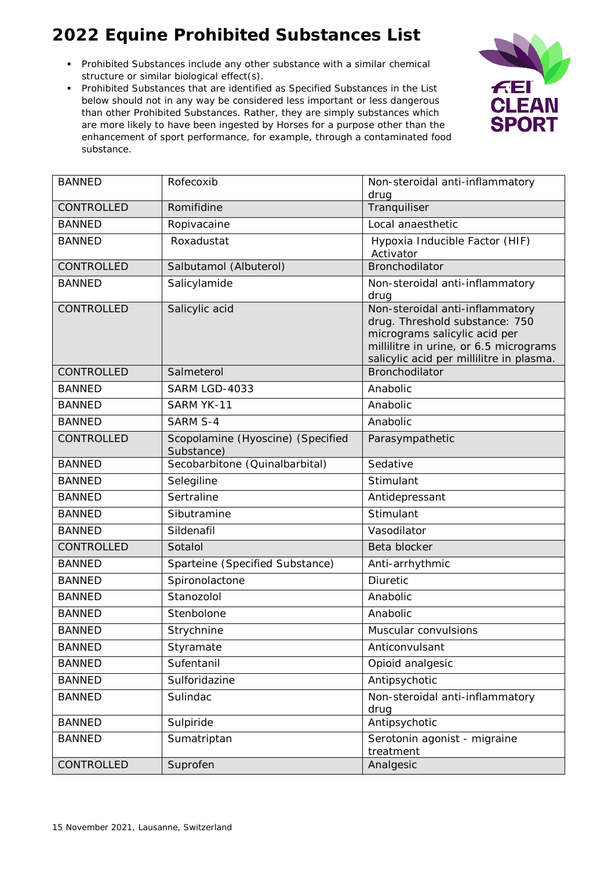- Prohibited Substances include any other substance with a similar chemical structure or similar biological effect(s).
- Prohibited Substances that are identified as Specified Substances in the List below should not in any way be considered less important or less dangerous than other Prohibited Substances. Rather, they are simply substances which are more likely to have been ingested by Horses for a purpose other than the enhancement of sport performance, for example, through a contaminated food substance.



| <b>BANNED</b> | Rofecoxib                                       | Non-steroidal anti-inflammatory<br>drug                                                                                                                                                  |
|---------------|-------------------------------------------------|------------------------------------------------------------------------------------------------------------------------------------------------------------------------------------------|
| CONTROLLED    | Romifidine                                      | Tranquiliser                                                                                                                                                                             |
| <b>BANNED</b> | Ropivacaine                                     | Local anaesthetic                                                                                                                                                                        |
| <b>BANNED</b> | Roxadustat                                      | Hypoxia Inducible Factor (HIF)<br>Activator                                                                                                                                              |
| CONTROLLED    | Salbutamol (Albuterol)                          | Bronchodilator                                                                                                                                                                           |
| <b>BANNED</b> | Salicylamide                                    | Non-steroidal anti-inflammatory<br>drug                                                                                                                                                  |
| CONTROLLED    | Salicylic acid                                  | Non-steroidal anti-inflammatory<br>drug. Threshold substance: 750<br>micrograms salicylic acid per<br>millilitre in urine, or 6.5 micrograms<br>salicylic acid per millilitre in plasma. |
| CONTROLLED    | Salmeterol                                      | <b>Bronchodilator</b>                                                                                                                                                                    |
| <b>BANNED</b> | SARM LGD-4033                                   | Anabolic                                                                                                                                                                                 |
| <b>BANNED</b> | SARM YK-11                                      | Anabolic                                                                                                                                                                                 |
| <b>BANNED</b> | <b>SARM S-4</b>                                 | Anabolic                                                                                                                                                                                 |
| CONTROLLED    | Scopolamine (Hyoscine) (Specified<br>Substance) | Parasympathetic                                                                                                                                                                          |
| <b>BANNED</b> | Secobarbitone (Quinalbarbital)                  | Sedative                                                                                                                                                                                 |
| <b>BANNED</b> | Selegiline                                      | Stimulant                                                                                                                                                                                |
| <b>BANNED</b> | Sertraline                                      | Antidepressant                                                                                                                                                                           |
| <b>BANNED</b> | Sibutramine                                     | Stimulant                                                                                                                                                                                |
| <b>BANNED</b> | Sildenafil                                      | Vasodilator                                                                                                                                                                              |
| CONTROLLED    | Sotalol                                         | Beta blocker                                                                                                                                                                             |
| <b>BANNED</b> | Sparteine (Specified Substance)                 | Anti-arrhythmic                                                                                                                                                                          |
| <b>BANNED</b> | Spironolactone                                  | Diuretic                                                                                                                                                                                 |
| <b>BANNED</b> | Stanozolol                                      | Anabolic                                                                                                                                                                                 |
| <b>BANNED</b> | Stenbolone                                      | Anabolic                                                                                                                                                                                 |
| <b>BANNED</b> | Strychnine                                      | Muscular convulsions                                                                                                                                                                     |
| <b>BANNED</b> | Styramate                                       | Anticonvulsant                                                                                                                                                                           |
| <b>BANNED</b> | Sufentanil                                      | Opioid analgesic                                                                                                                                                                         |
| <b>BANNED</b> | Sulforidazine                                   | Antipsychotic                                                                                                                                                                            |
| <b>BANNED</b> | Sulindac                                        | Non-steroidal anti-inflammatory<br>drug                                                                                                                                                  |
| <b>BANNED</b> | Sulpiride                                       | Antipsychotic                                                                                                                                                                            |
| <b>BANNED</b> | Sumatriptan                                     | Serotonin agonist - migraine<br>treatment                                                                                                                                                |
| CONTROLLED    | Suprofen                                        | Analgesic                                                                                                                                                                                |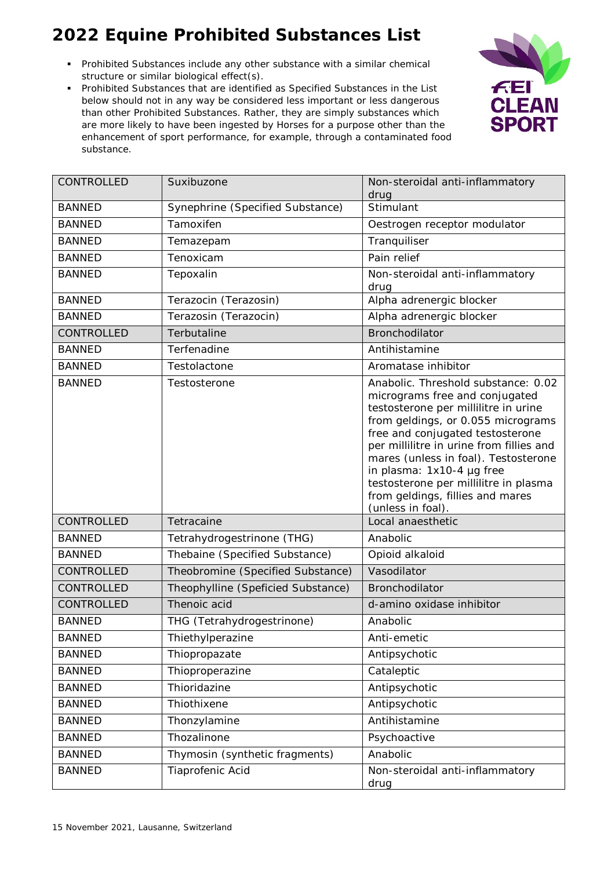- Prohibited Substances include any other substance with a similar chemical structure or similar biological effect(s).
- Prohibited Substances that are identified as Specified Substances in the List below should not in any way be considered less important or less dangerous than other Prohibited Substances. Rather, they are simply substances which are more likely to have been ingested by Horses for a purpose other than the enhancement of sport performance, for example, through a contaminated food substance.



| CONTROLLED        | Suxibuzone                         | Non-steroidal anti-inflammatory<br>drug                                                                                                                                                                                                                                                                                                                                                                    |
|-------------------|------------------------------------|------------------------------------------------------------------------------------------------------------------------------------------------------------------------------------------------------------------------------------------------------------------------------------------------------------------------------------------------------------------------------------------------------------|
| <b>BANNED</b>     | Synephrine (Specified Substance)   | Stimulant                                                                                                                                                                                                                                                                                                                                                                                                  |
| <b>BANNED</b>     | Tamoxifen                          | Oestrogen receptor modulator                                                                                                                                                                                                                                                                                                                                                                               |
| <b>BANNED</b>     | Temazepam                          | Tranquiliser                                                                                                                                                                                                                                                                                                                                                                                               |
| <b>BANNED</b>     | Tenoxicam                          | Pain relief                                                                                                                                                                                                                                                                                                                                                                                                |
| <b>BANNED</b>     | Tepoxalin                          | Non-steroidal anti-inflammatory<br>drug                                                                                                                                                                                                                                                                                                                                                                    |
| <b>BANNED</b>     | Terazocin (Terazosin)              | Alpha adrenergic blocker                                                                                                                                                                                                                                                                                                                                                                                   |
| <b>BANNED</b>     | Terazosin (Terazocin)              | Alpha adrenergic blocker                                                                                                                                                                                                                                                                                                                                                                                   |
| CONTROLLED        | Terbutaline                        | <b>Bronchodilator</b>                                                                                                                                                                                                                                                                                                                                                                                      |
| <b>BANNED</b>     | Terfenadine                        | Antihistamine                                                                                                                                                                                                                                                                                                                                                                                              |
| <b>BANNED</b>     | Testolactone                       | Aromatase inhibitor                                                                                                                                                                                                                                                                                                                                                                                        |
| <b>BANNED</b>     | Testosterone                       | Anabolic. Threshold substance: 0.02<br>micrograms free and conjugated<br>testosterone per millilitre in urine<br>from geldings, or 0.055 micrograms<br>free and conjugated testosterone<br>per millilitre in urine from fillies and<br>mares (unless in foal). Testosterone<br>in plasma: 1x10-4 µg free<br>testosterone per millilitre in plasma<br>from geldings, fillies and mares<br>(unless in foal). |
| CONTROLLED        | Tetracaine                         | Local anaesthetic                                                                                                                                                                                                                                                                                                                                                                                          |
| <b>BANNED</b>     | Tetrahydrogestrinone (THG)         | Anabolic                                                                                                                                                                                                                                                                                                                                                                                                   |
| <b>BANNED</b>     | Thebaine (Specified Substance)     | Opioid alkaloid                                                                                                                                                                                                                                                                                                                                                                                            |
| <b>CONTROLLED</b> | Theobromine (Specified Substance)  | Vasodilator                                                                                                                                                                                                                                                                                                                                                                                                |
| CONTROLLED        | Theophylline (Speficied Substance) | Bronchodilator                                                                                                                                                                                                                                                                                                                                                                                             |
| CONTROLLED        | Thenoic acid                       | d-amino oxidase inhibitor                                                                                                                                                                                                                                                                                                                                                                                  |
| <b>BANNED</b>     | THG (Tetrahydrogestrinone)         | Anabolic                                                                                                                                                                                                                                                                                                                                                                                                   |
| <b>BANNED</b>     | Thiethylperazine                   | Anti-emetic                                                                                                                                                                                                                                                                                                                                                                                                |
| <b>BANNED</b>     | Thiopropazate                      | Antipsychotic                                                                                                                                                                                                                                                                                                                                                                                              |
| <b>BANNED</b>     | Thioproperazine                    | Cataleptic                                                                                                                                                                                                                                                                                                                                                                                                 |
| <b>BANNED</b>     | Thioridazine                       | Antipsychotic                                                                                                                                                                                                                                                                                                                                                                                              |
| <b>BANNED</b>     | Thiothixene                        | Antipsychotic                                                                                                                                                                                                                                                                                                                                                                                              |
| <b>BANNED</b>     | Thonzylamine                       | Antihistamine                                                                                                                                                                                                                                                                                                                                                                                              |
| <b>BANNED</b>     | Thozalinone                        | Psychoactive                                                                                                                                                                                                                                                                                                                                                                                               |
| <b>BANNED</b>     | Thymosin (synthetic fragments)     | Anabolic                                                                                                                                                                                                                                                                                                                                                                                                   |
| <b>BANNED</b>     | Tiaprofenic Acid                   | Non-steroidal anti-inflammatory<br>drug                                                                                                                                                                                                                                                                                                                                                                    |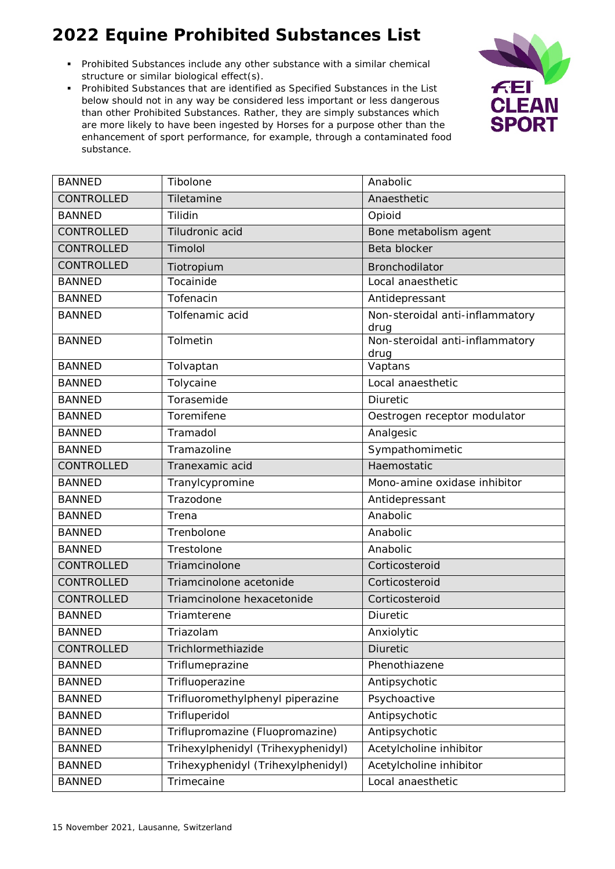- Prohibited Substances include any other substance with a similar chemical structure or similar biological effect(s).
- Prohibited Substances that are identified as Specified Substances in the List below should not in any way be considered less important or less dangerous than other Prohibited Substances. Rather, they are simply substances which are more likely to have been ingested by Horses for a purpose other than the enhancement of sport performance, for example, through a contaminated food substance.



| <b>BANNED</b> | Tibolone                           | Anabolic                                |
|---------------|------------------------------------|-----------------------------------------|
| CONTROLLED    | Tiletamine                         | Anaesthetic                             |
| <b>BANNED</b> | Tilidin                            | Opioid                                  |
| CONTROLLED    | Tiludronic acid                    | Bone metabolism agent                   |
| CONTROLLED    | Timolol                            | Beta blocker                            |
| CONTROLLED    | Tiotropium                         | Bronchodilator                          |
| <b>BANNED</b> | Tocainide                          | Local anaesthetic                       |
| <b>BANNED</b> | Tofenacin                          | Antidepressant                          |
| <b>BANNED</b> | Tolfenamic acid                    | Non-steroidal anti-inflammatory<br>drug |
| <b>BANNED</b> | Tolmetin                           | Non-steroidal anti-inflammatory<br>drug |
| <b>BANNED</b> | Tolvaptan                          | Vaptans                                 |
| <b>BANNED</b> | Tolycaine                          | Local anaesthetic                       |
| <b>BANNED</b> | Torasemide                         | Diuretic                                |
| <b>BANNED</b> | Toremifene                         | Oestrogen receptor modulator            |
| <b>BANNED</b> | Tramadol                           | Analgesic                               |
| <b>BANNED</b> | Tramazoline                        | Sympathomimetic                         |
| CONTROLLED    | Tranexamic acid                    | Haemostatic                             |
| <b>BANNED</b> | Tranylcypromine                    | Mono-amine oxidase inhibitor            |
| <b>BANNED</b> | Trazodone                          | Antidepressant                          |
| <b>BANNED</b> | Trena                              | Anabolic                                |
| <b>BANNED</b> | Trenbolone                         | Anabolic                                |
| <b>BANNED</b> | Trestolone                         | Anabolic                                |
| CONTROLLED    | Triamcinolone                      | Corticosteroid                          |
| CONTROLLED    | Triamcinolone acetonide            | Corticosteroid                          |
| CONTROLLED    | Triamcinolone hexacetonide         | Corticosteroid                          |
| <b>BANNED</b> | Triamterene                        | <b>Diuretic</b>                         |
| <b>BANNED</b> | Triazolam                          | Anxiolytic                              |
| CONTROLLED    | Trichlormethiazide                 | Diuretic                                |
| <b>BANNED</b> | Triflumeprazine                    | Phenothiazene                           |
| <b>BANNED</b> | Trifluoperazine                    | Antipsychotic                           |
| <b>BANNED</b> | Trifluoromethylphenyl piperazine   | Psychoactive                            |
| <b>BANNED</b> | Trifluperidol                      | Antipsychotic                           |
| <b>BANNED</b> | Triflupromazine (Fluopromazine)    | Antipsychotic                           |
| <b>BANNED</b> | Trihexylphenidyl (Trihexyphenidyl) | Acetylcholine inhibitor                 |
| <b>BANNED</b> | Trihexyphenidyl (Trihexylphenidyl) | Acetylcholine inhibitor                 |
| <b>BANNED</b> | Trimecaine                         | Local anaesthetic                       |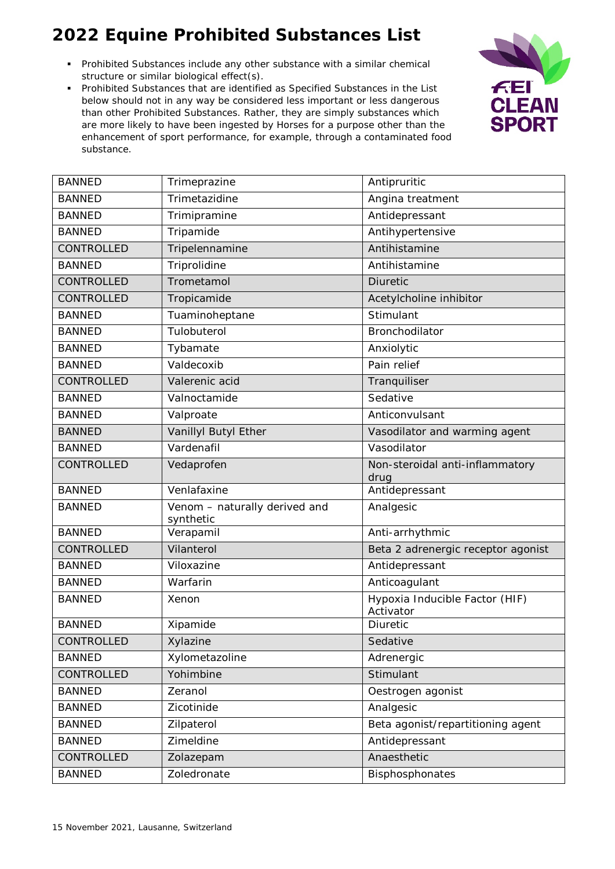- Prohibited Substances include any other substance with a similar chemical structure or similar biological effect(s).
- Prohibited Substances that are identified as Specified Substances in the List below should not in any way be considered less important or less dangerous than other Prohibited Substances. Rather, they are simply substances which are more likely to have been ingested by Horses for a purpose other than the enhancement of sport performance, for example, through a contaminated food substance.



| <b>BANNED</b>     | Trimeprazine                               | Antipruritic                                |
|-------------------|--------------------------------------------|---------------------------------------------|
| <b>BANNED</b>     | Trimetazidine                              | Angina treatment                            |
| <b>BANNED</b>     | Trimipramine                               | Antidepressant                              |
| <b>BANNED</b>     | Tripamide                                  | Antihypertensive                            |
| CONTROLLED        | Tripelennamine                             | Antihistamine                               |
| <b>BANNED</b>     | Triprolidine                               | Antihistamine                               |
| <b>CONTROLLED</b> | Trometamol                                 | <b>Diuretic</b>                             |
| CONTROLLED        | Tropicamide                                | Acetylcholine inhibitor                     |
| <b>BANNED</b>     | Tuaminoheptane                             | Stimulant                                   |
| <b>BANNED</b>     | Tulobuterol                                | Bronchodilator                              |
| <b>BANNED</b>     | Tybamate                                   | Anxiolytic                                  |
| <b>BANNED</b>     | Valdecoxib                                 | Pain relief                                 |
| CONTROLLED        | Valerenic acid                             | Tranquiliser                                |
| <b>BANNED</b>     | Valnoctamide                               | Sedative                                    |
| <b>BANNED</b>     | Valproate                                  | Anticonvulsant                              |
| <b>BANNED</b>     | Vanillyl Butyl Ether                       | Vasodilator and warming agent               |
| <b>BANNED</b>     | Vardenafil                                 | Vasodilator                                 |
| CONTROLLED        | Vedaprofen                                 | Non-steroidal anti-inflammatory<br>drug     |
| <b>BANNED</b>     | Venlafaxine                                | Antidepressant                              |
| <b>BANNED</b>     | Venom - naturally derived and<br>synthetic | Analgesic                                   |
| <b>BANNED</b>     | Verapamil                                  | Anti-arrhythmic                             |
| CONTROLLED        | Vilanterol                                 | Beta 2 adrenergic receptor agonist          |
| <b>BANNED</b>     | Viloxazine                                 | Antidepressant                              |
| <b>BANNED</b>     | Warfarin                                   | Anticoagulant                               |
| <b>BANNED</b>     | Xenon                                      | Hypoxia Inducible Factor (HIF)<br>Activator |
| <b>BANNED</b>     | Xipamide                                   | Diuretic                                    |
| CONTROLLED        | Xylazine                                   | Sedative                                    |
| <b>BANNED</b>     | Xylometazoline                             | Adrenergic                                  |
| CONTROLLED        | Yohimbine                                  | Stimulant                                   |
| <b>BANNED</b>     | Zeranol                                    | Oestrogen agonist                           |
| <b>BANNED</b>     | Zicotinide                                 | Analgesic                                   |
| <b>BANNED</b>     | Zilpaterol                                 | Beta agonist/repartitioning agent           |
| <b>BANNED</b>     | Zimeldine                                  | Antidepressant                              |
| CONTROLLED        | Zolazepam                                  | Anaesthetic                                 |
| <b>BANNED</b>     | Zoledronate                                | Bisphosphonates                             |